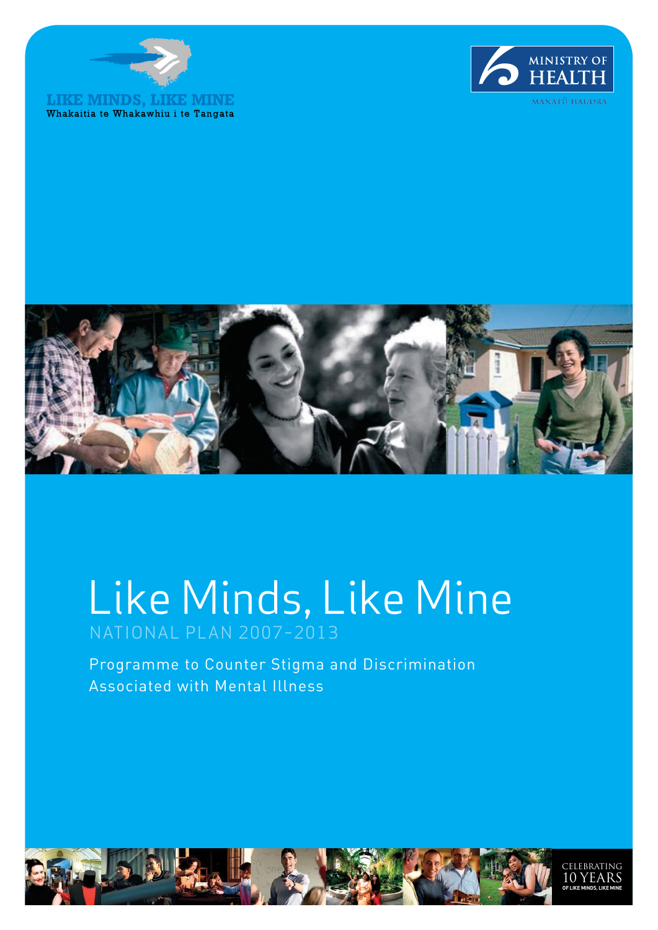





# Like Minds, Like Mine NATIONAL PLAN 2007–2013

Programme to Counter Stigma and Discrimination Associated with Mental Illness

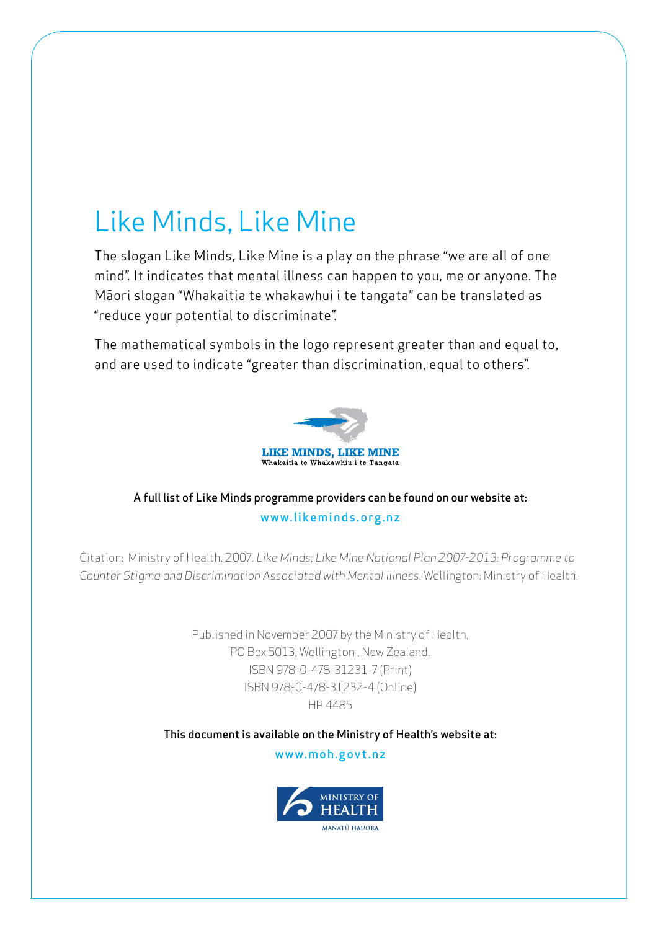## Like Minds, Like Mine

The slogan Like Minds, Like Mine is a play on the phrase "we are all of one mind". It indicates that mental illness can happen to you, me or anyone. The Māori slogan "Whakaitia te whakawhui i te tangata" can be translated as "reduce your potential to discriminate".

The mathematical symbols in the logo represent greater than and equal to, and are used to indicate "greater than discrimination, equal to others".



### A full list of Like Minds programme providers can be found on our website at: www.likeminds.org.nz

Citation: Ministry of Health. 2007. *Like Minds, Like Mine National Plan 2007-2013: Programme to Counter Stigma and Discrimination Associated with Mental Illness.* Wellington: Ministry of Health.

> Published in November 2007 by the Ministry of Health, PO Box 5013, Wellington , New Zealand. ISBN 978-0-478-31231-7 (Print) ISBN 978-0-478-31232-4 (Online) HP 4485

This document is available on the Ministry of Health's website at:

www.moh.govt.nz

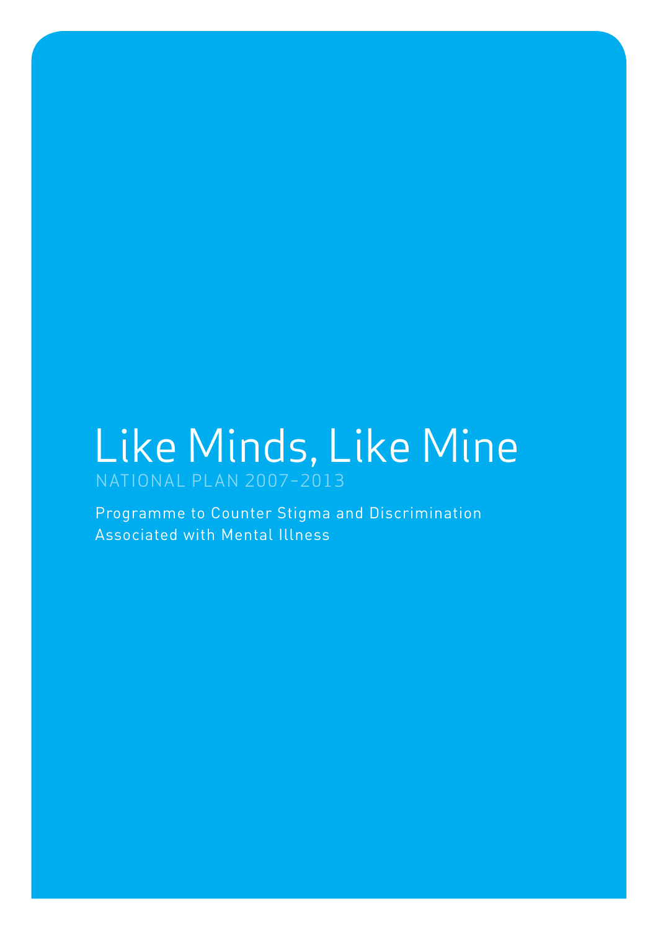## Like Minds, Like Mine NATIONAL PLAN 2007–2013

Programme to Counter Stigma and Discrimination Associated with Mental Illness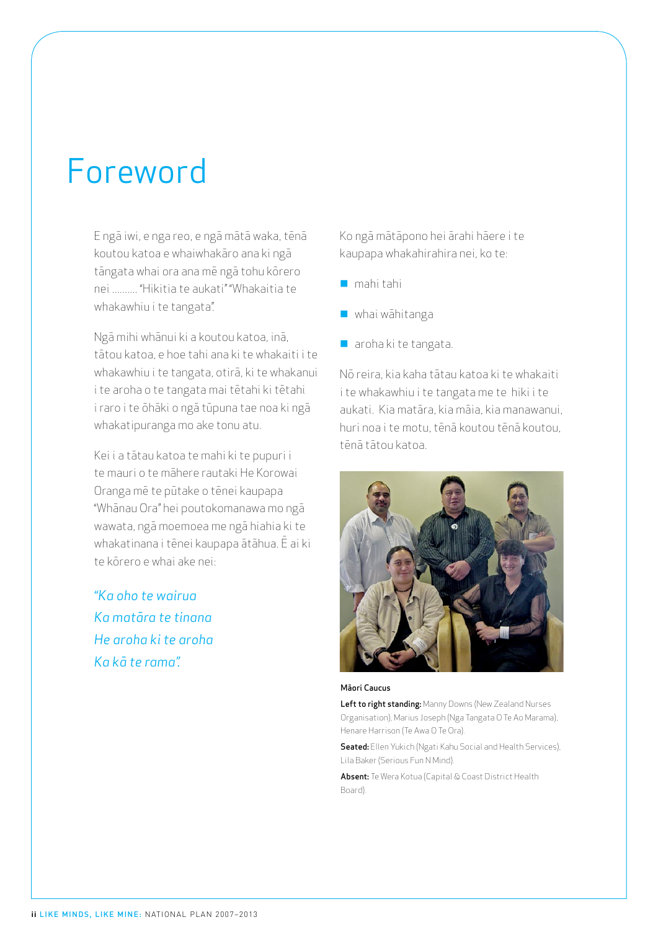## Foreword

E ngā iwi, e nga reo, e ngā mātā waka, tēnā koutou katoa e whaiwhakāro ana ki ngā tāngata whai ora ana mē ngā tohu kōrero nei .......... "Hikitia te aukati" "Whakaitia te whakawhiu i te tangata".

Ngā mihi whānui ki a koutou katoa, inā, tātou katoa, e hoe tahi ana ki te whakaiti i te whakawhiu i te tangata, otirā, ki te whakanui i te aroha o te tangata mai tētahi ki tētahi i raro i te ōhāki o ngā tūpuna tae noa ki ngā whakatipuranga mo ake tonu atu.

Kei i a tātau katoa te mahi ki te pupuri i te mauri o te māhere rautaki He Korowai Oranga mē te pūtake o tēnei kaupapa "Whānau Ora" hei poutokomanawa mo ngā wawata, ngā moemoea me ngā hiahia ki te whakatinana i tēnei kaupapa ātāhua. Ē ai ki te kōrero e whai ake nei:

*"Ka oho te wairua Ka matāra te tinana He aroha ki te aroha Ka kā te rama".*

Ko ngā mātāpono hei ārahi hāere i te kaupapa whakahirahira nei, ko te:

- $\blacksquare$  mahi tahi
- $\blacksquare$  whai wāhitanga
- $\blacksquare$  aroha ki te tangata.

Nō reira, kia kaha tātau katoa ki te whakaiti i te whakawhiu i te tangata me te hiki i te aukati. Kia matāra, kia māia, kia manawanui, huri noa i te motu, tēnā koutou tēnā koutou, tēnā tātou katoa.



#### Māori Caucus

Left to right standing: Manny Downs (New Zealand Nurses Organisation), Marius Joseph (Nga Tangata O Te Ao Marama), Henare Harrison (Te Awa O Te Ora).

**Seated:** Ellen Yukich (Ngati Kahu Social and Health Services), Lila Baker (Serious Fun N Mind).

Absent: Te Wera Kotua (Capital & Coast District Health Board).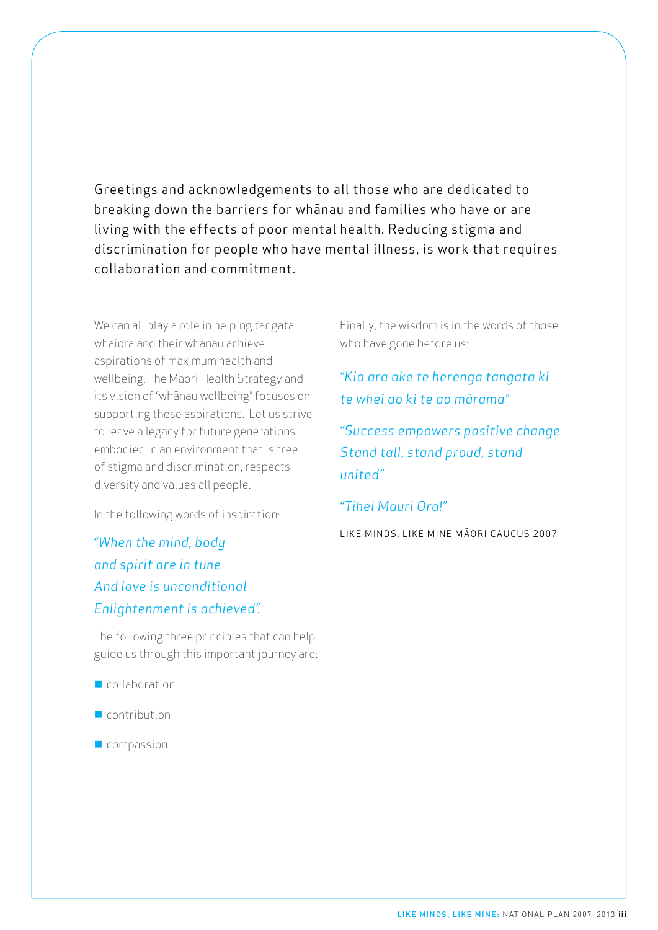Greetings and acknowledgements to all those who are dedicated to breaking down the barriers for whānau and families who have or are living with the effects of poor mental health. Reducing stigma and discrimination for people who have mental illness, is work that requires collaboration and commitment.

We can all play a role in helping tangata whaiora and their whānau achieve aspirations of maximum health and wellbeing. The Māori Health Strategy and its vision of "whānau wellbeing" focuses on supporting these aspirations. Let us strive to leave a legacy for future generations embodied in an environment that is free of stigma and discrimination, respects diversity and values all people.

In the following words of inspiration:

*"When the mind, body and spirit are in tune And love is unconditional Enlightenment is achieved".*

The following three principles that can help guide us through this important journey are:

- $\blacksquare$  collaboration
- $\blacksquare$  contribution
- $\blacksquare$  compassion.

Finally, the wisdom is in the words of those who have gone before us:

*"Kia ara ake te herenga tangata ki te whei ao ki te ao mārama"*

*"Success empowers positive change Stand tall, stand proud, stand united"*

### *"Tihei Mauri Ora!"*

LIKE MINDS, LIKE MINE MĀORI CAUCUS 2007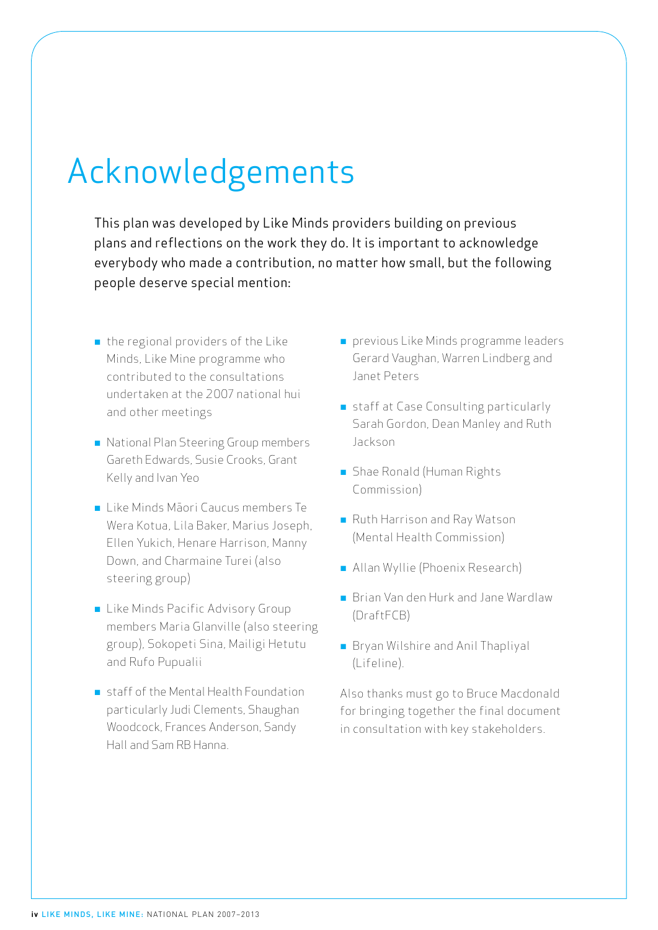# Acknowledgements

This plan was developed by Like Minds providers building on previous plans and reflections on the work they do. It is important to acknowledge everybody who made a contribution, no matter how small, but the following people deserve special mention:

- $\blacksquare$  the regional providers of the Like Minds, Like Mine programme who contributed to the consultations undertaken at the 2007 national hui and other meetings
- n National Plan Steering Group members Gareth Edwards, Susie Crooks, Grant Kelly and Ivan Yeo
- Like Minds Māori Caucus members Te Wera Kotua, Lila Baker, Marius Joseph, Ellen Yukich, Henare Harrison, Manny Down, and Charmaine Turei (also steering group)
- **E** Like Minds Pacific Advisory Group members Maria Glanville (also steering group), Sokopeti Sina, Mailigi Hetutu and Rufo Pupualii
- $\blacksquare$  staff of the Mental Health Foundation particularly Judi Clements, Shaughan Woodcock, Frances Anderson, Sandy Hall and Sam RB Hanna.
- **n** previous Like Minds programme leaders Gerard Vaughan, Warren Lindberg and Janet Peters
- staff at Case Consulting particularly Sarah Gordon, Dean Manley and Ruth Jackson
- **n** Shae Ronald (Human Rights Commission)
- **n** Ruth Harrison and Ray Watson (Mental Health Commission)
- **n** Allan Wyllie (Phoenix Research)
- **n** Brian Van den Hurk and Jane Wardlaw (DraftFCB)
- **n** Bryan Wilshire and Anil Thapliyal (Lifeline).

Also thanks must go to Bruce Macdonald for bringing together the final document in consultation with key stakeholders.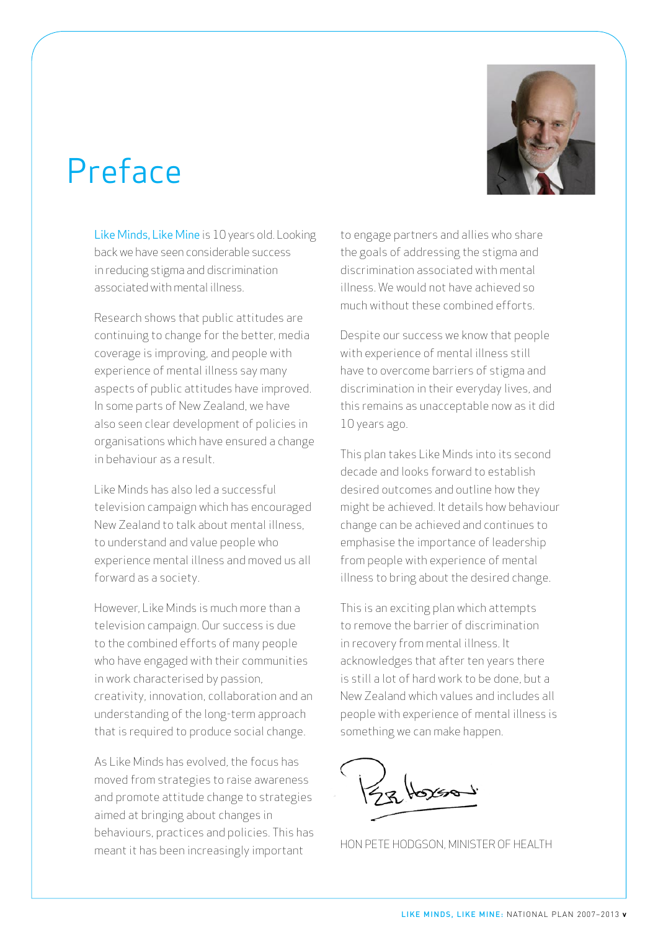# Preface



Like Minds, Like Mine is 10 years old. Looking back we have seen considerable success in reducing stigma and discrimination associated with mental illness.

Research shows that public attitudes are continuing to change for the better, media coverage is improving, and people with experience of mental illness say many aspects of public attitudes have improved. In some parts of New Zealand, we have also seen clear development of policies in organisations which have ensured a change in behaviour as a result.

Like Minds has also led a successful television campaign which has encouraged New Zealand to talk about mental illness, to understand and value people who experience mental illness and moved us all forward as a society.

However, Like Minds is much more than a television campaign. Our success is due to the combined efforts of many people who have engaged with their communities in work characterised by passion, creativity, innovation, collaboration and an understanding of the long-term approach that is required to produce social change.

As Like Minds has evolved, the focus has moved from strategies to raise awareness and promote attitude change to strategies aimed at bringing about changes in behaviours, practices and policies. This has meant it has been increasingly important

to engage partners and allies who share the goals of addressing the stigma and discrimination associated with mental illness. We would not have achieved so much without these combined efforts.

Despite our success we know that people with experience of mental illness still have to overcome barriers of stigma and discrimination in their everyday lives, and this remains as unacceptable now as it did 10 years ago.

This plan takes Like Minds into its second decade and looks forward to establish desired outcomes and outline how they might be achieved. It details how behaviour change can be achieved and continues to emphasise the importance of leadership from people with experience of mental illness to bring about the desired change.

This is an exciting plan which attempts to remove the barrier of discrimination in recovery from mental illness. It acknowledges that after ten years there is still a lot of hard work to be done, but a New Zealand which values and includes all people with experience of mental illness is something we can make happen.

Hon Pete Hodgson, Minister of Health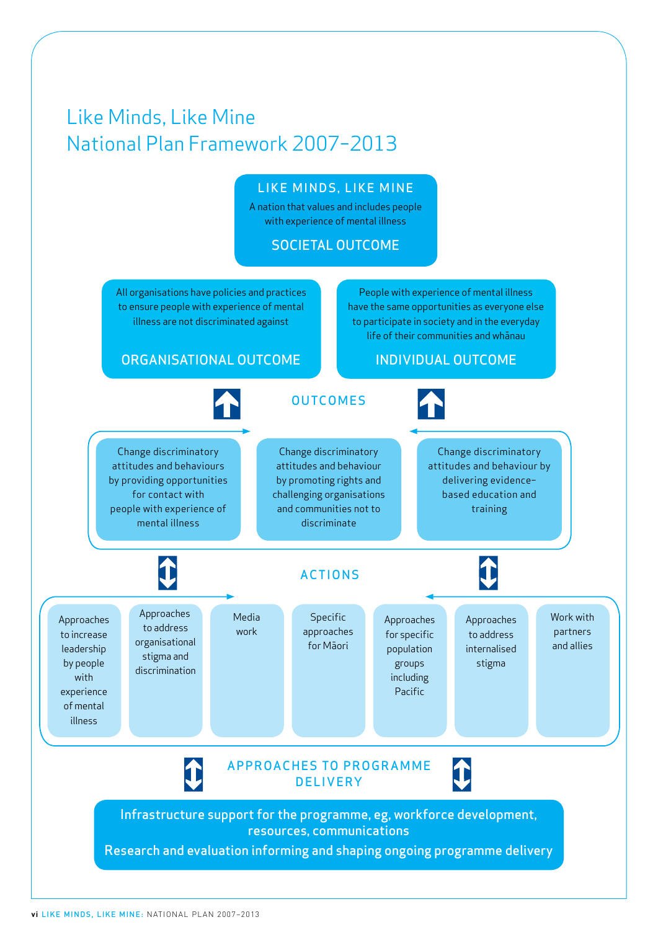## Like Minds, Like Mine National Plan Framework 2007–2013

### LIKE MINDS, LIKE MINE

A nation that values and includes people with experience of mental illness

### SOCIETAL OUTCOME

All organisations have policies and practices to ensure people with experience of mental illness are not discriminated against

People with experience of mental illness have the same opportunities as everyone else to participate in society and in the everyday life of their communities and whānau

### ORGANISATIONAL OUTCOME

INDIVIDUAL OUTCOME

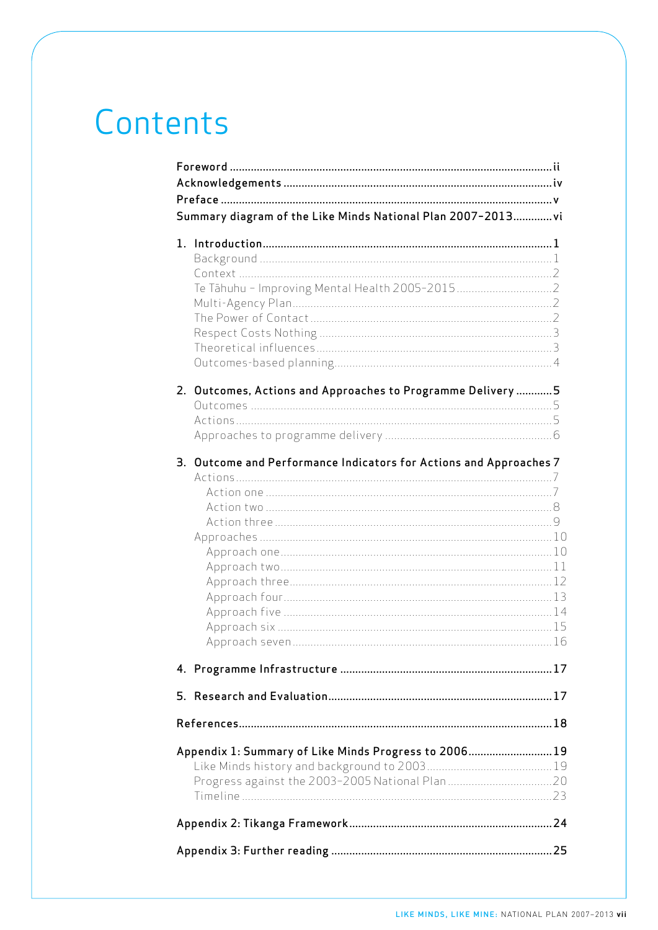# Contents

| Summary diagram of the Like Minds National Plan 2007-2013 vi       |  |
|--------------------------------------------------------------------|--|
|                                                                    |  |
|                                                                    |  |
|                                                                    |  |
|                                                                    |  |
|                                                                    |  |
|                                                                    |  |
|                                                                    |  |
|                                                                    |  |
|                                                                    |  |
| 2. Outcomes, Actions and Approaches to Programme Delivery  5       |  |
|                                                                    |  |
|                                                                    |  |
|                                                                    |  |
| 3. Outcome and Performance Indicators for Actions and Approaches 7 |  |
|                                                                    |  |
|                                                                    |  |
|                                                                    |  |
|                                                                    |  |
|                                                                    |  |
|                                                                    |  |
|                                                                    |  |
|                                                                    |  |
|                                                                    |  |
|                                                                    |  |
|                                                                    |  |
|                                                                    |  |
|                                                                    |  |
|                                                                    |  |
|                                                                    |  |
| Appendix 1: Summary of Like Minds Progress to 200619               |  |
|                                                                    |  |
|                                                                    |  |
|                                                                    |  |
|                                                                    |  |
|                                                                    |  |
|                                                                    |  |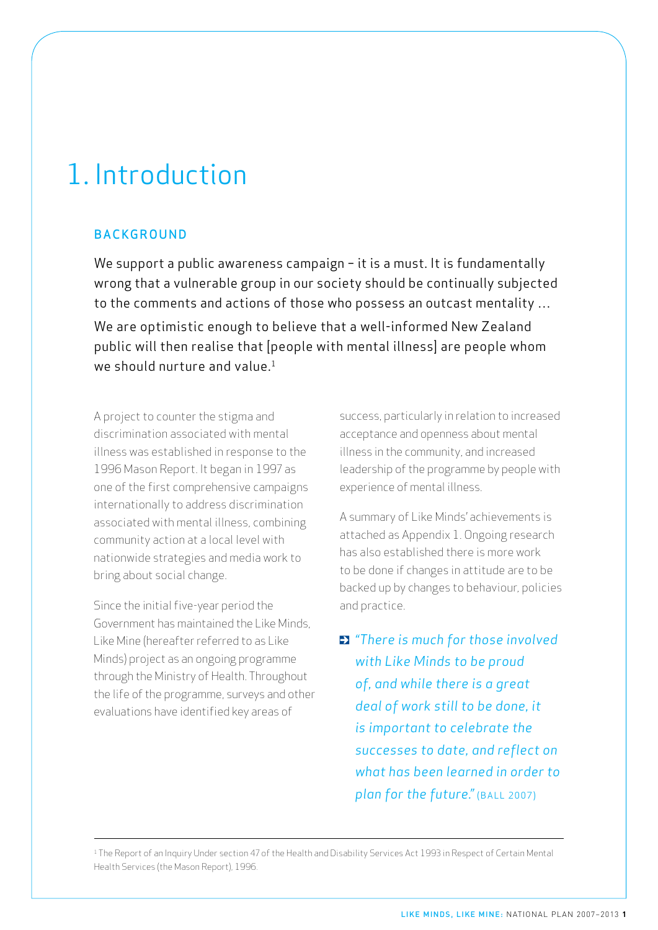## 1. Introduction

### **BACKGROUND**

We support a public awareness campaign - it is a must. It is fundamentally wrong that a vulnerable group in our society should be continually subjected to the comments and actions of those who possess an outcast mentality … We are optimistic enough to believe that a well-informed New Zealand public will then realise that [people with mental illness] are people whom we should nurture and value.<sup>1</sup>

A project to counter the stigma and discrimination associated with mental illness was established in response to the 1996 Mason Report. It began in 1997 as one of the first comprehensive campaigns internationally to address discrimination associated with mental illness, combining community action at a local level with nationwide strategies and media work to bring about social change.

Since the initial five-year period the Government has maintained the Like Minds, Like Mine (hereafter referred to as Like Minds) project as an ongoing programme through the Ministry of Health. Throughout the life of the programme, surveys and other evaluations have identified key areas of

success, particularly in relation to increased acceptance and openness about mental illness in the community, and increased leadership of the programme by people with experience of mental illness.

A summary of Like Minds' achievements is attached as Appendix 1. Ongoing research has also established there is more work to be done if changes in attitude are to be backed up by changes to behaviour, policies and practice.

*"There is much for those involved with Like Minds to be proud of, and while there is a great deal of work still to be done, it is important to celebrate the successes to date, and reflect on what has been learned in order to*  plan for the future." (BALL 2007)

<sup>1</sup> The Report of an Inquiry Under section 47 of the Health and Disability Services Act 1993 in Respect of Certain Mental Health Services (the Mason Report), 1996.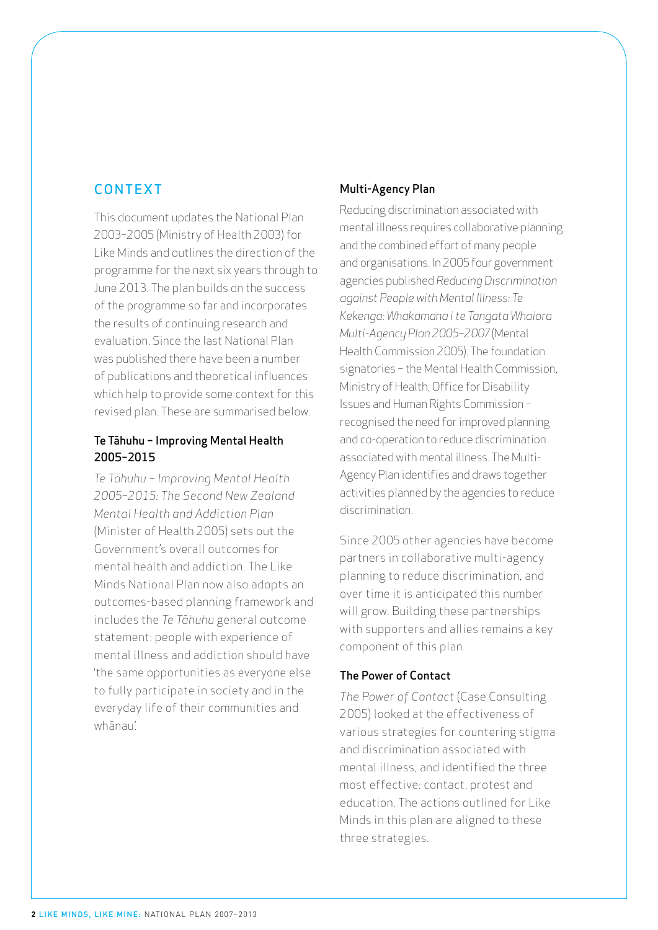### CONTEXT

This document updates the National Plan 2003–2005 (Ministry of Health 2003) for Like Minds and outlines the direction of the programme for the next six years through to June 2013. The plan builds on the success of the programme so far and incorporates the results of continuing research and evaluation. Since the last National Plan was published there have been a number of publications and theoretical influences which help to provide some context for this revised plan. These are summarised below.

### Te Tāhuhu − Improving Mental Health 2005–2015

*Te Tāhuhu − Improving Mental Health 2005–2015: The Second New Zealand Mental Health and Addiction Plan*  (Minister of Health 2005) sets out the Government's overall outcomes for mental health and addiction. The Like Minds National Plan now also adopts an outcomes-based planning framework and includes the *Te Tāhuhu* general outcome statement: people with experience of mental illness and addiction should have 'the same opportunities as everyone else to fully participate in society and in the everyday life of their communities and whānau'.

### Multi-Agency Plan

Reducing discrimination associated with mental illness requires collaborative planning and the combined effort of many people and organisations. In 2005 four government agencies published *Reducing Discrimination against People with Mental Illness: Te Kekenga: Whakamana i te Tangata Whaiora Multi-Agency Plan 2005−2007* (Mental Health Commission 2005). The foundation signatories − the Mental Health Commission, Ministry of Health, Office for Disability Issues and Human Rights Commission − recognised the need for improved planning and co-operation to reduce discrimination associated with mental illness. The Multi-Agency Plan identifies and draws together activities planned by the agencies to reduce discrimination.

Since 2005 other agencies have become partners in collaborative multi-agency planning to reduce discrimination, and over time it is anticipated this number will grow. Building these partnerships with supporters and allies remains a key component of this plan.

### The Power of Contact

*The Power of Contact* (Case Consulting 2005) looked at the effectiveness of various strategies for countering stigma and discrimination associated with mental illness, and identified the three most effective: contact, protest and education. The actions outlined for Like Minds in this plan are aligned to these three strategies.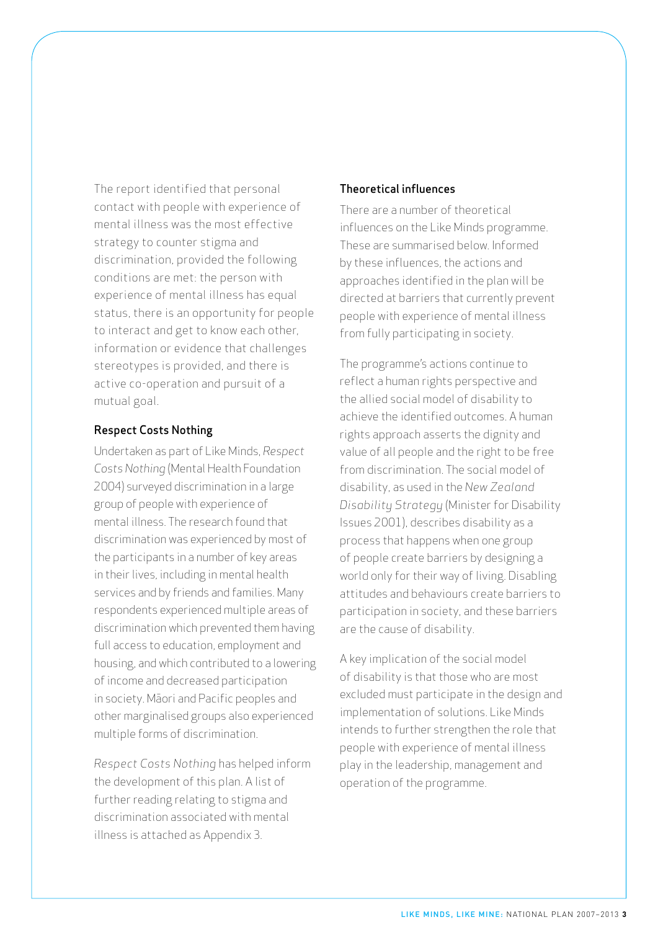The report identified that personal contact with people with experience of mental illness was the most effective strategy to counter stigma and discrimination, provided the following conditions are met: the person with experience of mental illness has equal status, there is an opportunity for people to interact and get to know each other, information or evidence that challenges stereotypes is provided, and there is active co-operation and pursuit of a mutual goal.

### Respect Costs Nothing

Undertaken as part of Like Minds, *Respect Costs Nothing* (Mental Health Foundation 2004) surveyed discrimination in a large group of people with experience of mental illness. The research found that discrimination was experienced by most of the participants in a number of key areas in their lives, including in mental health services and by friends and families. Many respondents experienced multiple areas of discrimination which prevented them having full access to education, employment and housing, and which contributed to a lowering of income and decreased participation in society. Māori and Pacific peoples and other marginalised groups also experienced multiple forms of discrimination.

*Respect Costs Nothing* has helped inform the development of this plan. A list of further reading relating to stigma and discrimination associated with mental illness is attached as Appendix 3.

#### Theoretical influences

There are a number of theoretical influences on the Like Minds programme. These are summarised below. Informed by these influences, the actions and approaches identified in the plan will be directed at barriers that currently prevent people with experience of mental illness from fully participating in society.

The programme's actions continue to reflect a human rights perspective and the allied social model of disability to achieve the identified outcomes. A human rights approach asserts the dignity and value of all people and the right to be free from discrimination. The social model of disability, as used in the *New Zealand Disability Strategy* (Minister for Disability Issues 2001), describes disability as a process that happens when one group of people create barriers by designing a world only for their way of living. Disabling attitudes and behaviours create barriers to participation in society, and these barriers are the cause of disability.

A key implication of the social model of disability is that those who are most excluded must participate in the design and implementation of solutions. Like Minds intends to further strengthen the role that people with experience of mental illness play in the leadership, management and operation of the programme.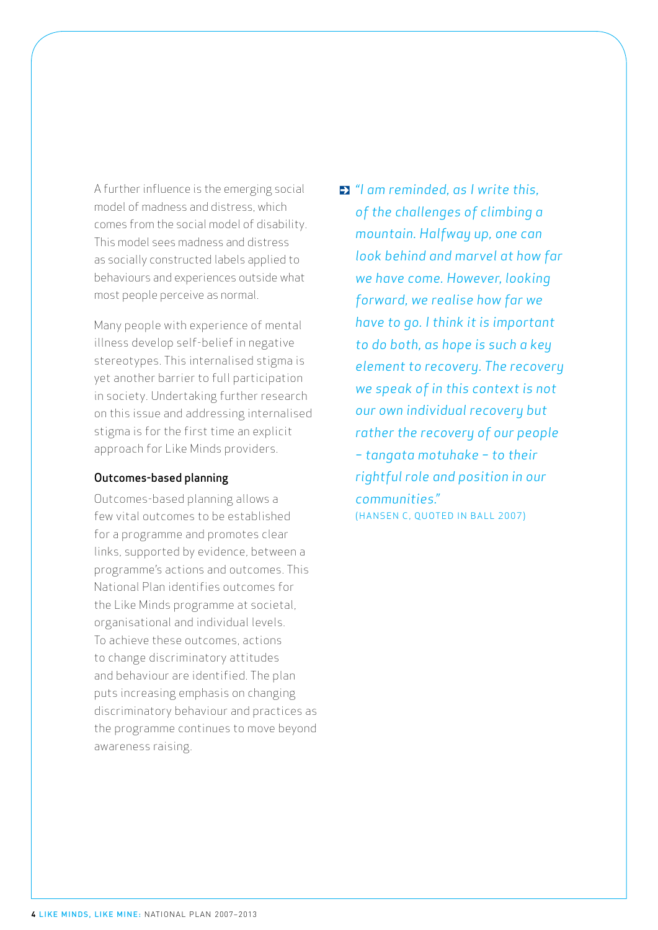A further influence is the emerging social model of madness and distress, which comes from the social model of disability. This model sees madness and distress as socially constructed labels applied to behaviours and experiences outside what most people perceive as normal.

Many people with experience of mental illness develop self-belief in negative stereotypes. This internalised stigma is yet another barrier to full participation in society. Undertaking further research on this issue and addressing internalised stigma is for the first time an explicit approach for Like Minds providers.

#### Outcomes-based planning

Outcomes-based planning allows a few vital outcomes to be established for a programme and promotes clear links, supported by evidence, between a programme's actions and outcomes. This National Plan identifies outcomes for the Like Minds programme at societal, organisational and individual levels. To achieve these outcomes, actions to change discriminatory attitudes and behaviour are identified. The plan puts increasing emphasis on changing discriminatory behaviour and practices as the programme continues to move beyond awareness raising.

*"I am reminded, as I write this, of the challenges of climbing a mountain. Halfway up, one can look behind and marvel at how far we have come. However, looking forward, we realise how far we have to go. I think it is important to do both, as hope is such a key element to recovery. The recovery we speak of in this context is not our own individual recovery but rather the recovery of our people – tangata motuhake – to their rightful role and position in our communities."* (HANSEN C, QUOTED IN BALL 2007)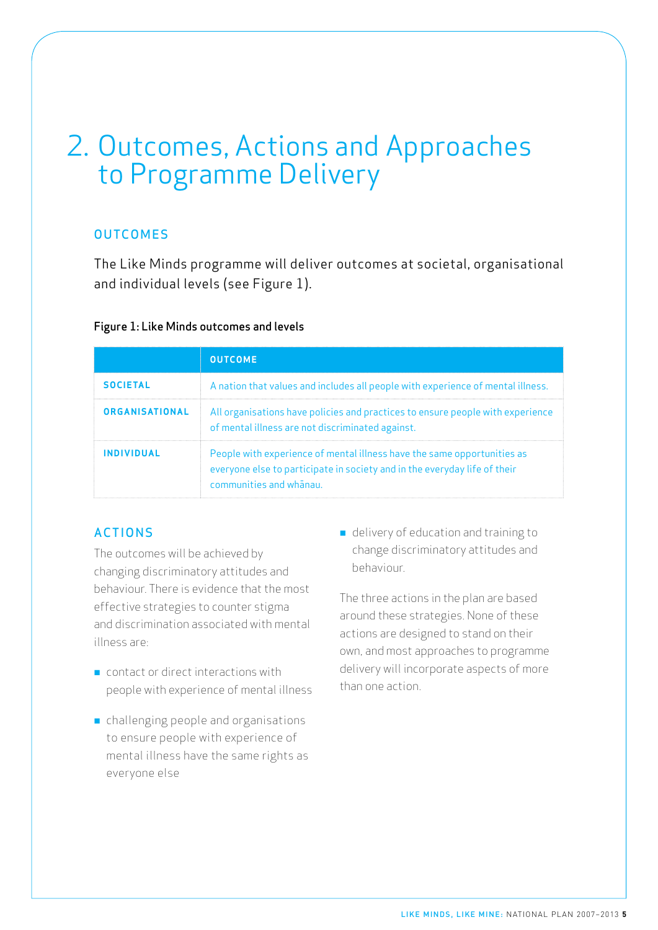## 2. Outcomes, Actions and Approaches to Programme Delivery

### **OUTCOMES**

The Like Minds programme will deliver outcomes at societal, organisational and individual levels (see Figure 1).

### Figure 1: Like Minds outcomes and levels

|                       | <b>OUTCOME</b>                                                                                                                                                                  |
|-----------------------|---------------------------------------------------------------------------------------------------------------------------------------------------------------------------------|
| <b>SOCIETAL</b>       | A nation that values and includes all people with experience of mental illness.                                                                                                 |
| <b>ORGANISATIONAL</b> | All organisations have policies and practices to ensure people with experience<br>of mental illness are not discriminated against.                                              |
| <b>INDIVIDUAL</b>     | People with experience of mental illness have the same opportunities as<br>everyone else to participate in society and in the everyday life of their<br>communities and whanau. |

### Actions

The outcomes will be achieved by changing discriminatory attitudes and behaviour. There is evidence that the most effective strategies to counter stigma and discrimination associated with mental illness are:

- $\blacksquare$  contact or direct interactions with people with experience of mental illness
- n challenging people and organisations to ensure people with experience of mental illness have the same rights as everyone else

■ delivery of education and training to change discriminatory attitudes and behaviour.

The three actions in the plan are based around these strategies. None of these actions are designed to stand on their own, and most approaches to programme delivery will incorporate aspects of more than one action.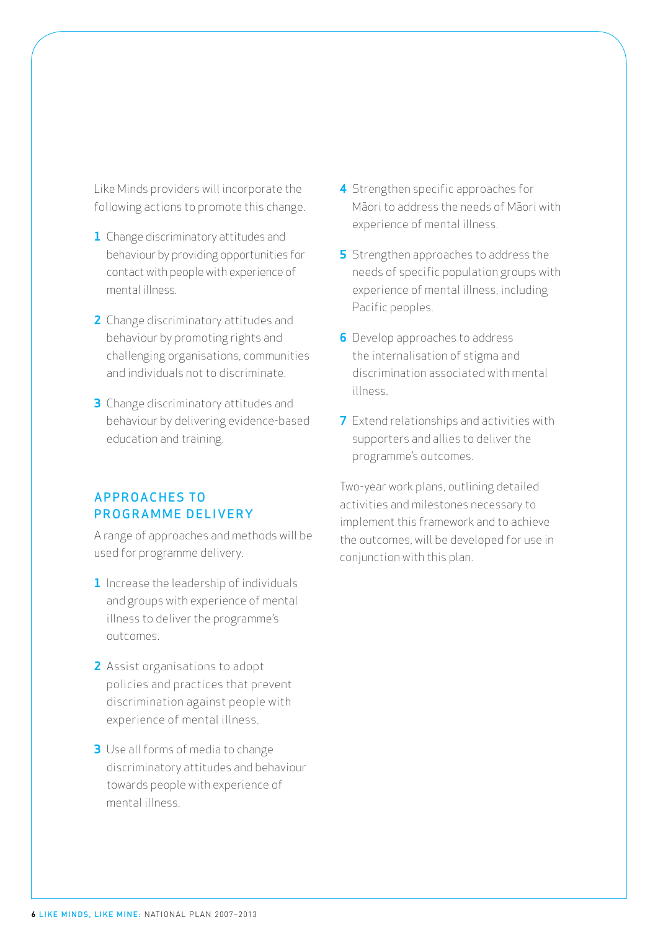Like Minds providers will incorporate the following actions to promote this change.

- **1** Change discriminatory attitudes and behaviour by providing opportunities for contact with people with experience of mental illness.
- **2** Change discriminatory attitudes and behaviour by promoting rights and challenging organisations, communities and individuals not to discriminate.
- **3** Change discriminatory attitudes and behaviour by delivering evidence-based education and training.

### Approaches to PROGRAMME DELIVERY

A range of approaches and methods will be used for programme delivery.

- **1** Increase the leadership of individuals and groups with experience of mental illness to deliver the programme's outcomes.
- **2** Assist organisations to adopt policies and practices that prevent discrimination against people with experience of mental illness.
- **3** Use all forms of media to change discriminatory attitudes and behaviour towards people with experience of mental illness.
- **4** Strengthen specific approaches for Māori to address the needs of Māori with experience of mental illness.
- **5** Strengthen approaches to address the needs of specific population groups with experience of mental illness, including Pacific peoples.
- **6** Develop approaches to address the internalisation of stigma and discrimination associated with mental illness.
- **7** Extend relationships and activities with supporters and allies to deliver the programme's outcomes.

Two-year work plans, outlining detailed activities and milestones necessary to implement this framework and to achieve the outcomes, will be developed for use in conjunction with this plan.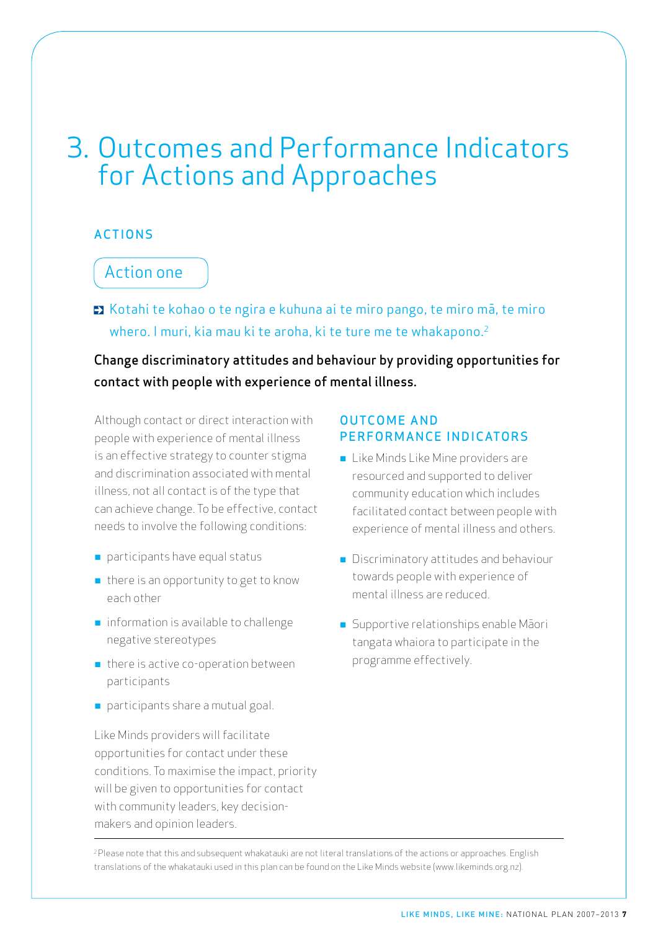## 3. Outcomes and Performance Indicators for Actions and Approaches

### **ACTIONS**

### Action one

■ Kotahi te kohao o te ngira e kuhuna ai te miro pango, te miro mā, te miro whero. I muri, kia mau ki te aroha, ki te ture me te whakapono.<sup>2</sup>

Change discriminatory attitudes and behaviour by providing opportunities for contact with people with experience of mental illness.

Although contact or direct interaction with people with experience of mental illness is an effective strategy to counter stigma and discrimination associated with mental illness, not all contact is of the type that can achieve change. To be effective, contact needs to involve the following conditions:

- $\blacksquare$  participants have equal status
- $\blacksquare$  there is an opportunity to get to know each other
- $\blacksquare$  information is available to challenge negative stereotypes
- $\blacksquare$  there is active co-operation between participants
- n participants share a mutual goal.

Like Minds providers will facilitate opportunities for contact under these conditions. To maximise the impact, priority will be given to opportunities for contact with community leaders, key decisionmakers and opinion leaders.

### **OUTCOME AND** PERFORMANCE INDICATORS

- Like Minds Like Mine providers are resourced and supported to deliver community education which includes facilitated contact between people with experience of mental illness and others.
- **n** Discriminatory attitudes and behaviour towards people with experience of mental illness are reduced.
- n Supportive relationships enable Māori tangata whaiora to participate in the programme effectively.

<sup>2</sup> Please note that this and subsequent whakatauki are not literal translations of the actions or approaches. English translations of the whakatauki used in this plan can be found on the Like Minds website (www.likeminds.org.nz).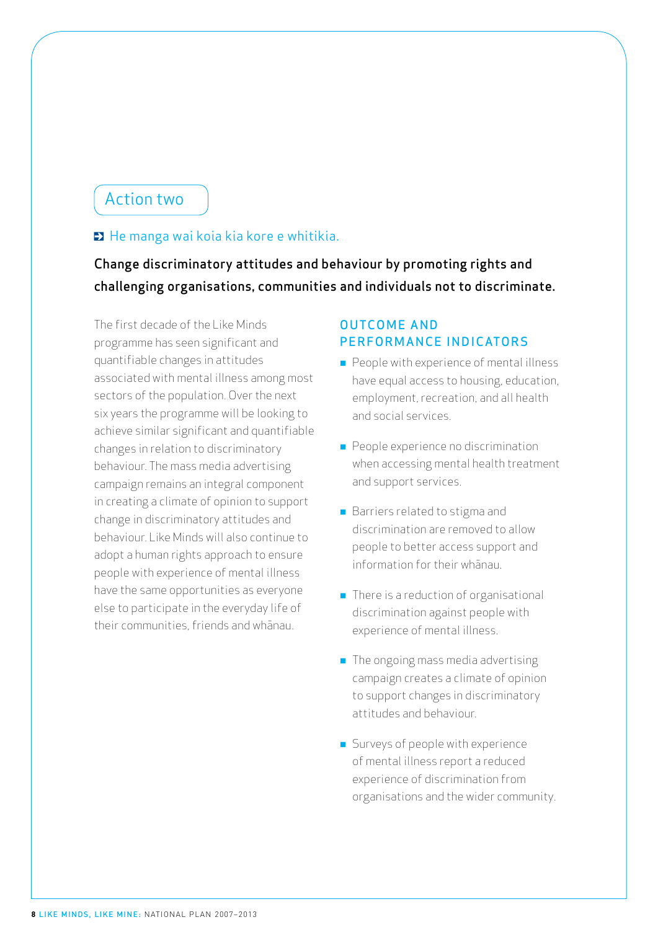### Action two

### $\blacksquare$  He manga wai koia kia kore e whitikia.

Change discriminatory attitudes and behaviour by promoting rights and challenging organisations, communities and individuals not to discriminate.

The first decade of the Like Minds programme has seen significant and quantifiable changes in attitudes associated with mental illness among most sectors of the population. Over the next six years the programme will be looking to achieve similar significant and quantifiable changes in relation to discriminatory behaviour. The mass media advertising campaign remains an integral component in creating a climate of opinion to support change in discriminatory attitudes and behaviour. Like Minds will also continue to adopt a human rights approach to ensure people with experience of mental illness have the same opportunities as everyone else to participate in the everyday life of their communities, friends and whānau.

- $\blacksquare$  People with experience of mental illness have equal access to housing, education, employment, recreation, and all health and social services.
- People experience no discrimination when accessing mental health treatment and support services.
- Barriers related to stigma and discrimination are removed to allow people to better access support and information for their whānau.
- $\blacksquare$  There is a reduction of organisational discrimination against people with experience of mental illness.
- $\blacksquare$  The ongoing mass media advertising campaign creates a climate of opinion to support changes in discriminatory attitudes and behaviour.
- **n** Surveys of people with experience of mental illness report a reduced experience of discrimination from organisations and the wider community.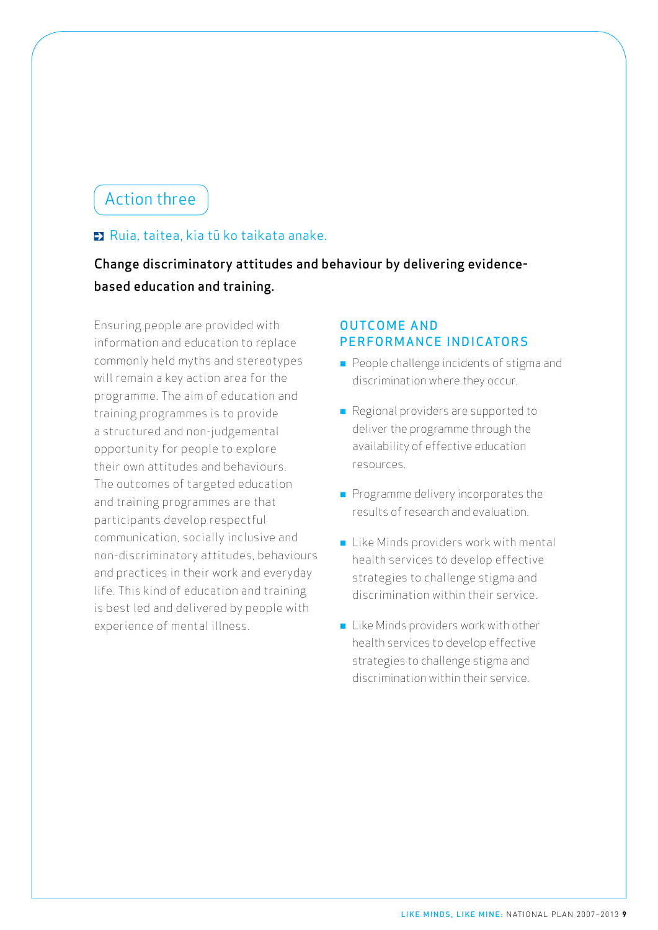## Action three

### Ruia, taitea, kia tū ko taikata anake.

### Change discriminatory attitudes and behaviour by delivering evidencebased education and training.

Ensuring people are provided with information and education to replace commonly held myths and stereotypes will remain a key action area for the programme. The aim of education and training programmes is to provide a structured and non-judgemental opportunity for people to explore their own attitudes and behaviours. The outcomes of targeted education and training programmes are that participants develop respectful communication, socially inclusive and non-discriminatory attitudes, behaviours and practices in their work and everyday life. This kind of education and training is best led and delivered by people with experience of mental illness.

- People challenge incidents of stigma and discrimination where they occur.
- Regional providers are supported to deliver the programme through the availability of effective education resources.
- $\blacksquare$  Programme delivery incorporates the results of research and evaluation.
- Like Minds providers work with mental health services to develop effective strategies to challenge stigma and discrimination within their service.
- $\blacksquare$  Like Minds providers work with other health services to develop effective strategies to challenge stigma and discrimination within their service.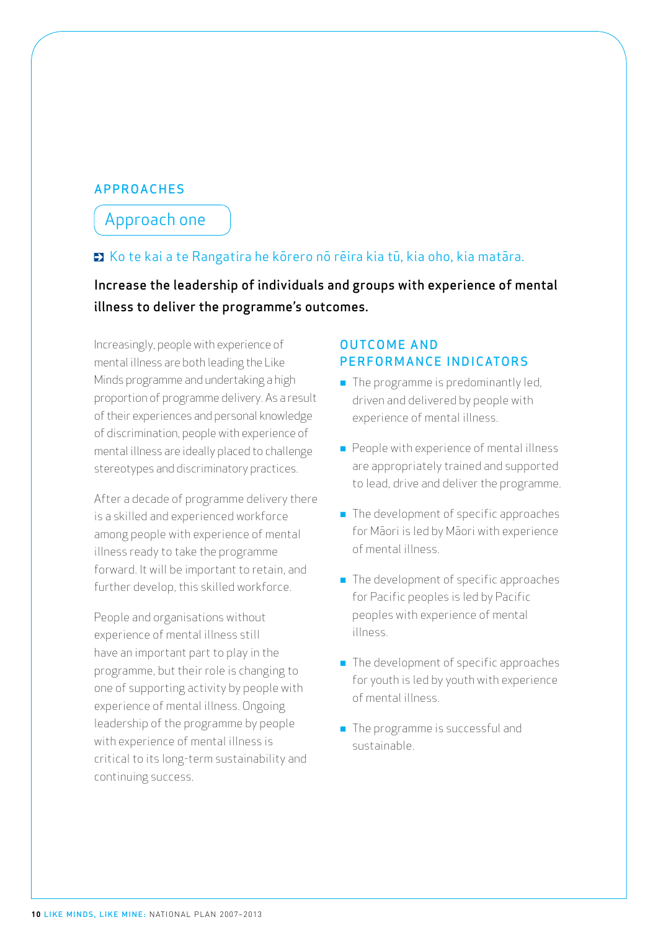### **APPROACHES**

### Approach one

### Ko te kai a te Rangatira he kōrero nō rēira kia tū, kia oho, kia matāra.

Increase the leadership of individuals and groups with experience of mental illness to deliver the programme's outcomes.

Increasingly, people with experience of mental illness are both leading the Like Minds programme and undertaking a high proportion of programme delivery. As a result of their experiences and personal knowledge of discrimination, people with experience of mental illness are ideally placed to challenge stereotypes and discriminatory practices.

After a decade of programme delivery there is a skilled and experienced workforce among people with experience of mental illness ready to take the programme forward. It will be important to retain, and further develop, this skilled workforce.

People and organisations without experience of mental illness still have an important part to play in the programme, but their role is changing to one of supporting activity by people with experience of mental illness. Ongoing leadership of the programme by people with experience of mental illness is critical to its long-term sustainability and continuing success.

- $\blacksquare$  The programme is predominantly led, driven and delivered by people with experience of mental illness.
- $\blacksquare$  People with experience of mental illness are appropriately trained and supported to lead, drive and deliver the programme.
- $\blacksquare$  The development of specific approaches for Māori is led by Māori with experience of mental illness.
- **n** The development of specific approaches for Pacific peoples is led by Pacific peoples with experience of mental illness.
- $\blacksquare$  The development of specific approaches for youth is led by youth with experience of mental illness.
- The programme is successful and sustainable.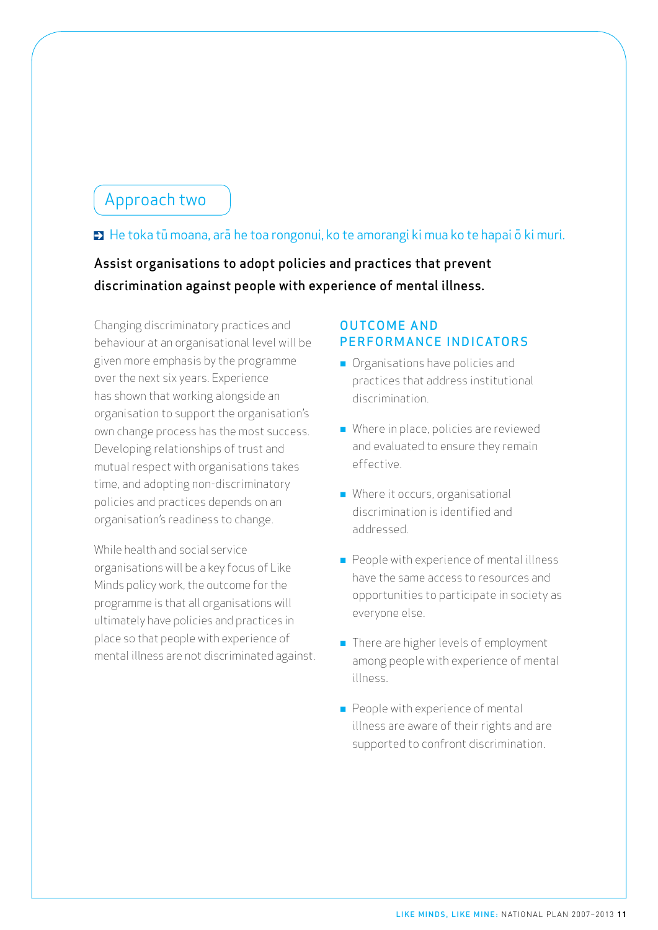### Approach two

### ■ He toka tū moana, arā he toa rongonui, ko te amorangi ki mua ko te hapai ō ki muri.

### Assist organisations to adopt policies and practices that prevent discrimination against people with experience of mental illness.

Changing discriminatory practices and behaviour at an organisational level will be given more emphasis by the programme over the next six years. Experience has shown that working alongside an organisation to support the organisation's own change process has the most success. Developing relationships of trust and mutual respect with organisations takes time, and adopting non-discriminatory policies and practices depends on an organisation's readiness to change.

While health and social service organisations will be a key focus of Like Minds policy work, the outcome for the programme is that all organisations will ultimately have policies and practices in place so that people with experience of mental illness are not discriminated against.

- **n** Organisations have policies and practices that address institutional discrimination.
- $\blacksquare$  Where in place, policies are reviewed and evaluated to ensure they remain effective.
- Where it occurs, organisational discrimination is identified and addressed.
- $\blacksquare$  People with experience of mental illness have the same access to resources and opportunities to participate in society as everyone else.
- There are higher levels of employment among people with experience of mental illness.
- $\blacksquare$  People with experience of mental illness are aware of their rights and are supported to confront discrimination.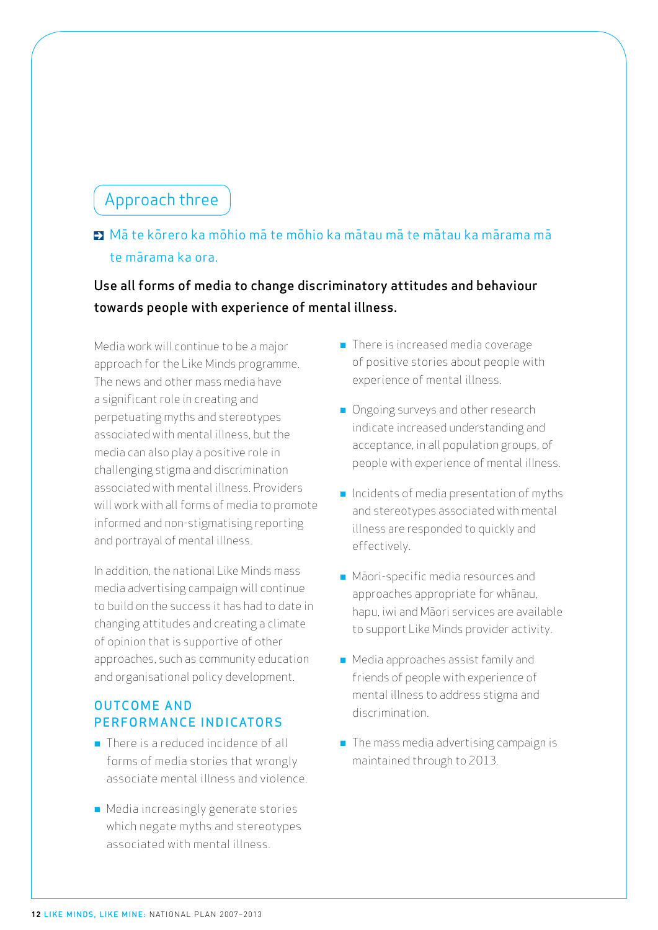### Approach three

### Mā te kōrero ka mōhio mā te mōhio ka mātau mā te mātau ka mārama mā te mārama ka ora.

### Use all forms of media to change discriminatory attitudes and behaviour towards people with experience of mental illness.

Media work will continue to be a major approach for the Like Minds programme. The news and other mass media have a significant role in creating and perpetuating myths and stereotypes associated with mental illness, but the media can also play a positive role in challenging stigma and discrimination associated with mental illness. Providers will work with all forms of media to promote informed and non-stigmatising reporting and portrayal of mental illness.

In addition, the national Like Minds mass media advertising campaign will continue to build on the success it has had to date in changing attitudes and creating a climate of opinion that is supportive of other approaches, such as community education and organisational policy development.

- $\blacksquare$  There is a reduced incidence of all forms of media stories that wrongly associate mental illness and violence.
- **n** Media increasingly generate stories which negate myths and stereotypes associated with mental illness.
- $\blacksquare$  There is increased media coverage of positive stories about people with experience of mental illness.
- **n** Ongoing surveys and other research indicate increased understanding and acceptance, in all population groups, of people with experience of mental illness.
- $\blacksquare$  Incidents of media presentation of myths and stereotypes associated with mental illness are responded to quickly and effectively.
- n Māori-specific media resources and approaches appropriate for whānau, hapu, iwi and Māori services are available to support Like Minds provider activity.
- Media approaches assist family and friends of people with experience of mental illness to address stigma and discrimination.
- $\blacksquare$  The mass media advertising campaign is maintained through to 2013.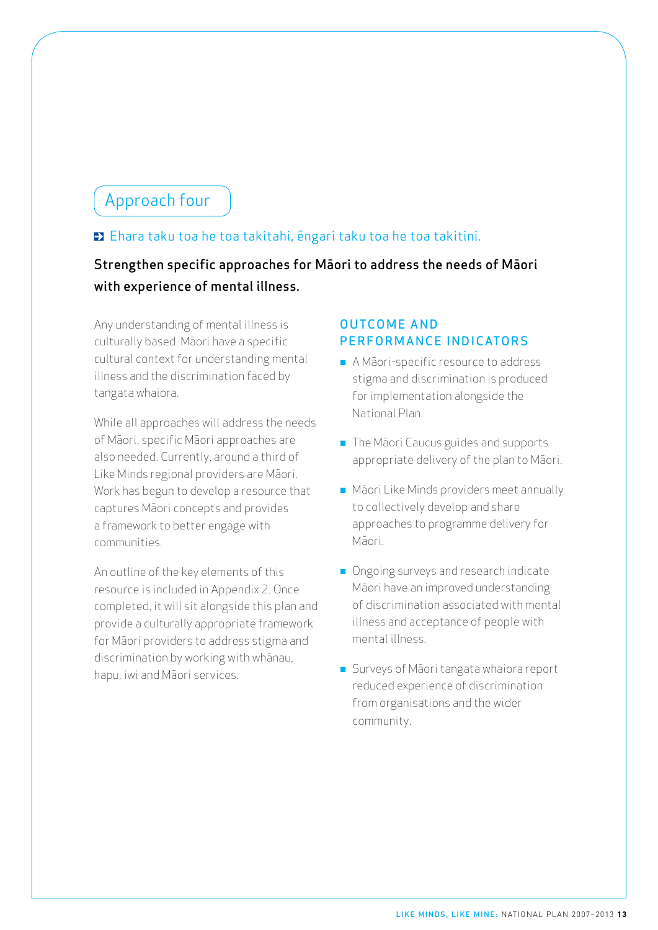## Approach four

### Ehara taku toa he toa takitahi, ēngari taku toa he toa takitini.

### Strengthen specific approaches for Māori to address the needs of Māori with experience of mental illness.

Any understanding of mental illness is culturally based. Māori have a specific cultural context for understanding mental illness and the discrimination faced by tangata whaiora.

While all approaches will address the needs of Māori, specific Māori approaches are also needed. Currently, around a third of Like Minds regional providers are Māori. Work has begun to develop a resource that captures Māori concepts and provides a framework to better engage with communities.

An outline of the key elements of this resource is included in Appendix 2. Once completed, it will sit alongside this plan and provide a culturally appropriate framework for Māori providers to address stigma and discrimination by working with whānau, hapu, iwi and Māori services.

- A Māori-specific resource to address stigma and discrimination is produced for implementation alongside the National Plan.
- **n** The Māori Caucus guides and supports appropriate delivery of the plan to Māori.
- $\blacksquare$  Māori Like Minds providers meet annually to collectively develop and share approaches to programme delivery for Māori.
- **n** Ongoing surveys and research indicate Māori have an improved understanding of discrimination associated with mental illness and acceptance of people with mental illness.
- Surveys of Māori tangata whaiora report reduced experience of discrimination from organisations and the wider community.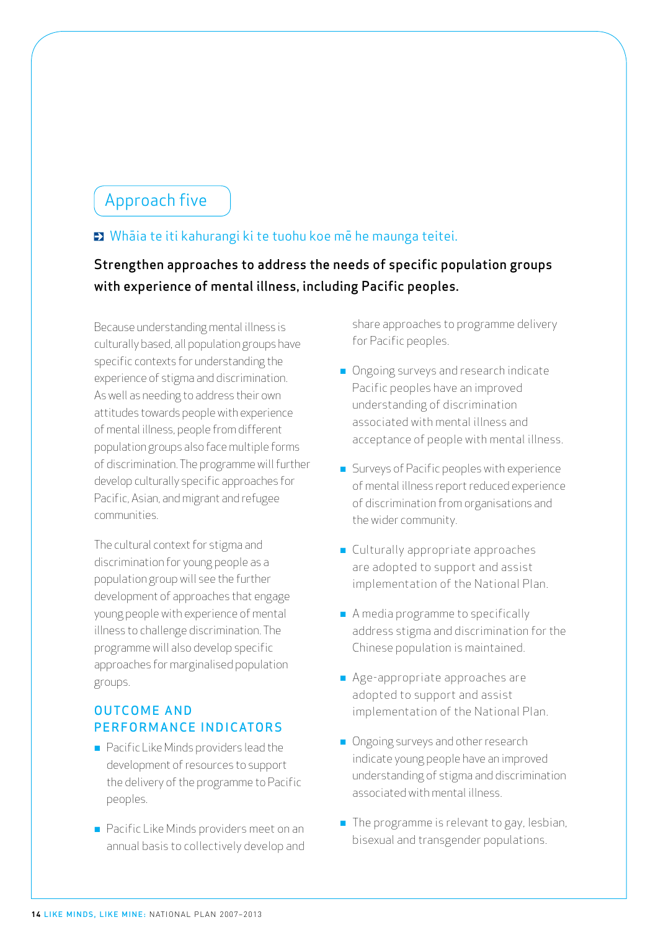## Approach five

### Whāia te iti kahurangi ki te tuohu koe mē he maunga teitei.

### Strengthen approaches to address the needs of specific population groups with experience of mental illness, including Pacific peoples.

Because understanding mental illness is culturally based, all population groups have specific contexts for understanding the experience of stigma and discrimination. As well as needing to address their own attitudes towards people with experience of mental illness, people from different population groups also face multiple forms of discrimination. The programme will further develop culturally specific approaches for Pacific, Asian, and migrant and refugee communities.

The cultural context for stigma and discrimination for young people as a population group will see the further development of approaches that engage young people with experience of mental illness to challenge discrimination. The programme will also develop specific approaches for marginalised population groups.

### **OUTCOME AND** PERFORMANCE INDICATORS

- **n** Pacific Like Minds providers lead the development of resources to support the delivery of the programme to Pacific peoples.
- Pacific Like Minds providers meet on an annual basis to collectively develop and

share approaches to programme delivery for Pacific peoples.

- **n** Ongoing surveys and research indicate Pacific peoples have an improved understanding of discrimination associated with mental illness and acceptance of people with mental illness.
- **n** Surveys of Pacific peoples with experience of mental illness report reduced experience of discrimination from organisations and the wider community.
- Culturally appropriate approaches are adopted to support and assist implementation of the National Plan.
- $\blacksquare$  A media programme to specifically address stigma and discrimination for the Chinese population is maintained.
- Age-appropriate approaches are adopted to support and assist implementation of the National Plan.
- **n** Ongoing surveys and other research indicate young people have an improved understanding of stigma and discrimination associated with mental illness.
- $\blacksquare$  The programme is relevant to gay, lesbian, bisexual and transgender populations.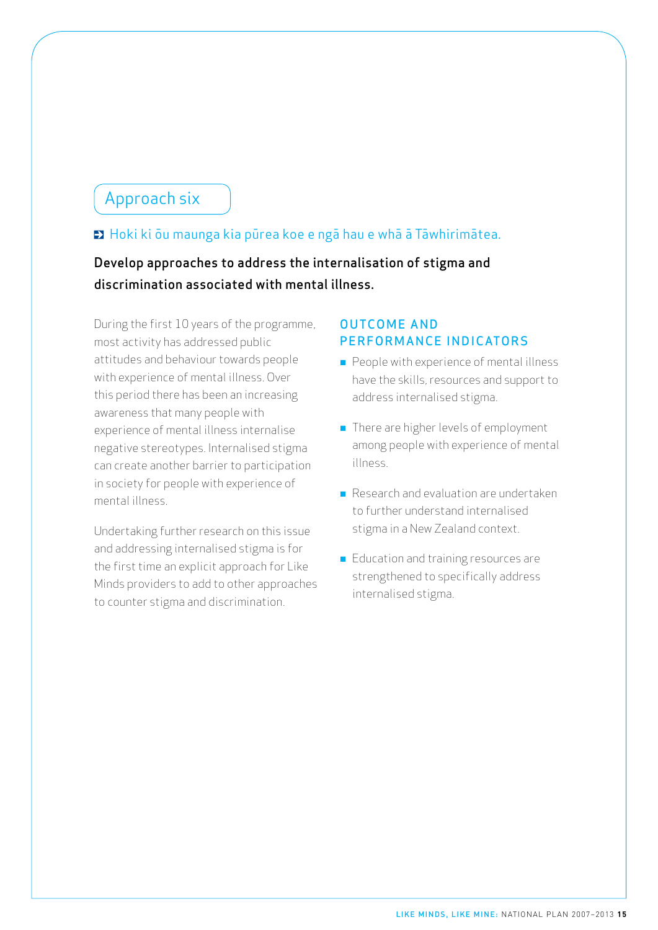### Approach six

### ■ Hoki ki ōu maunga kia pūrea koe e ngā hau e whā ā Tāwhirimātea.

Develop approaches to address the internalisation of stigma and discrimination associated with mental illness.

During the first 10 years of the programme, most activity has addressed public attitudes and behaviour towards people with experience of mental illness. Over this period there has been an increasing awareness that many people with experience of mental illness internalise negative stereotypes. Internalised stigma can create another barrier to participation in society for people with experience of mental illness.

Undertaking further research on this issue and addressing internalised stigma is for the first time an explicit approach for Like Minds providers to add to other approaches to counter stigma and discrimination.

- $\blacksquare$  People with experience of mental illness have the skills, resources and support to address internalised stigma.
- **n** There are higher levels of employment among people with experience of mental illness.
- n Research and evaluation are undertaken to further understand internalised stigma in a New Zealand context.
- Education and training resources are strengthened to specifically address internalised stigma.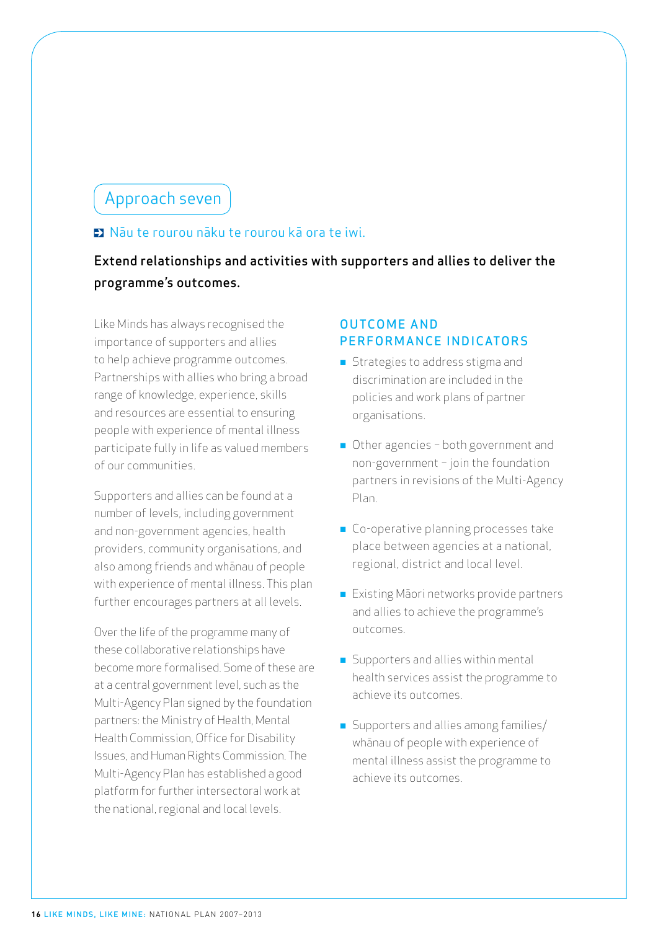### Approach seven

### $\blacksquare$  Nāu te rourou nāku te rourou kā ora te iwi.

### Extend relationships and activities with supporters and allies to deliver the programme's outcomes.

Like Minds has always recognised the importance of supporters and allies to help achieve programme outcomes. Partnerships with allies who bring a broad range of knowledge, experience, skills and resources are essential to ensuring people with experience of mental illness participate fully in life as valued members of our communities.

Supporters and allies can be found at a number of levels, including government and non-government agencies, health providers, community organisations, and also among friends and whānau of people with experience of mental illness. This plan further encourages partners at all levels.

Over the life of the programme many of these collaborative relationships have become more formalised. Some of these are at a central government level, such as the Multi-Agency Plan signed by the foundation partners: the Ministry of Health, Mental Health Commission, Office for Disability Issues, and Human Rights Commission. The Multi-Agency Plan has established a good platform for further intersectoral work at the national, regional and local levels.

- **n** Strategies to address stigma and discrimination are included in the policies and work plans of partner organisations.
- Other agencies both government and non-government − join the foundation partners in revisions of the Multi-Agency Plan.
- **n** Co-operative planning processes take place between agencies at a national, regional, district and local level.
- **Existing Maori networks provide partners** and allies to achieve the programme's outcomes.
- Supporters and allies within mental health services assist the programme to achieve its outcomes.
- **n** Supporters and allies among families/ whānau of people with experience of mental illness assist the programme to achieve its outcomes.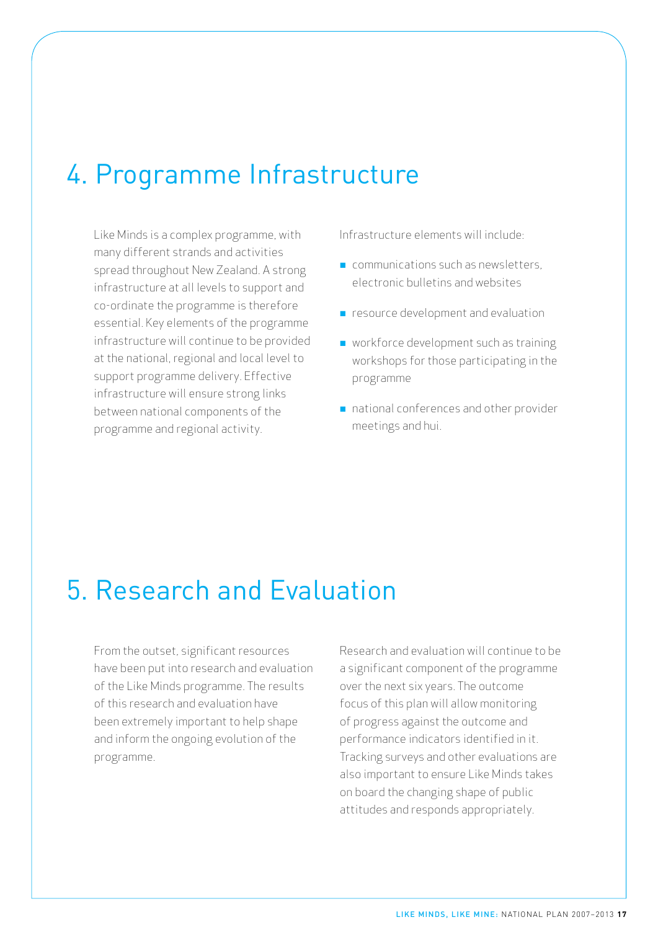## 4. Programme Infrastructure

Like Minds is a complex programme, with many different strands and activities spread throughout New Zealand. A strong infrastructure at all levels to support and co-ordinate the programme is therefore essential. Key elements of the programme infrastructure will continue to be provided at the national, regional and local level to support programme delivery. Effective infrastructure will ensure strong links between national components of the programme and regional activity.

Infrastructure elements will include:

- $\blacksquare$  communications such as newsletters. electronic bulletins and websites
- **n** resource development and evaluation
- **n** workforce development such as training workshops for those participating in the programme
- national conferences and other provider meetings and hui.

## 5. Research and Evaluation

From the outset, significant resources have been put into research and evaluation of the Like Minds programme. The results of this research and evaluation have been extremely important to help shape and inform the ongoing evolution of the programme.

Research and evaluation will continue to be a significant component of the programme over the next six years. The outcome focus of this plan will allow monitoring of progress against the outcome and performance indicators identified in it. Tracking surveys and other evaluations are also important to ensure Like Minds takes on board the changing shape of public attitudes and responds appropriately.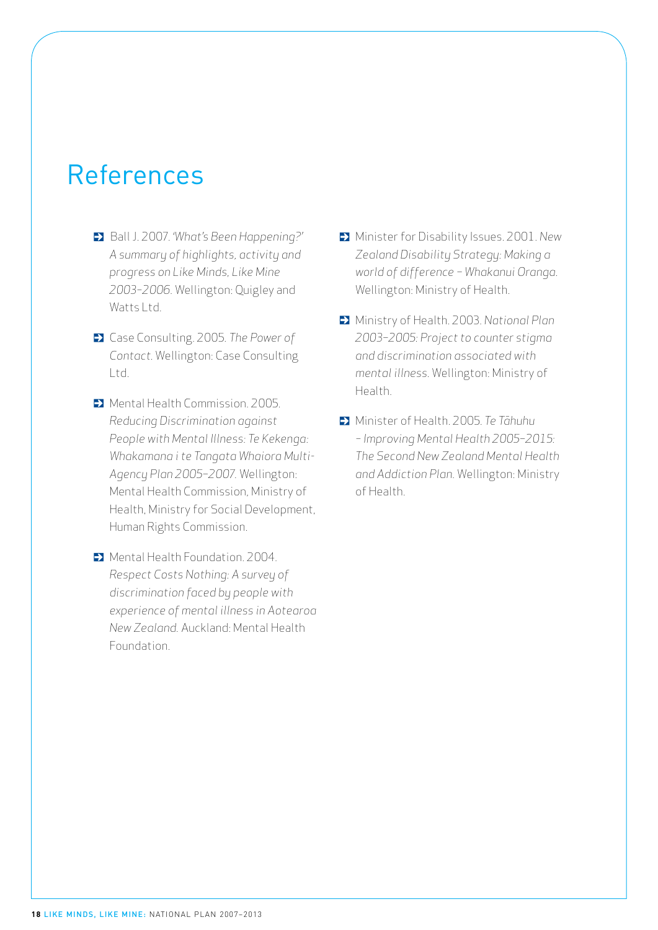## References

- Ball J. 2007. *'What's Been Happening?' A summary of highlights, activity and progress on Like Minds, Like Mine 2003–2006.* Wellington: Quigley and Watts Ltd.
- Case Consulting. 2005. *The Power of Contact.* Wellington: Case Consulting Ltd.
- **D** Mental Health Commission. 2005. *Reducing Discrimination against People with Mental Illness: Te Kekenga: Whakamana i te Tangata Whaiora Multi-Agency Plan 2005−2007.* Wellington: Mental Health Commission, Ministry of Health, Ministry for Social Development, Human Rights Commission.
- $\blacktriangleright$  Mental Health Foundation. 2004. *Respect Costs Nothing: A survey of discrimination faced by people with experience of mental illness in Aotearoa New Zealand.* Auckland: Mental Health Foundation.
- Minister for Disability Issues. 2001. *New Zealand Disability Strategy: Making a world of difference − Whakanui Oranga.*  Wellington: Ministry of Health.
- Ministry of Health. 2003. *National Plan 2003−2005: Project to counter stigma and discrimination associated with mental illness.* Wellington: Ministry of Health.
- Minister of Health. 2005. *Te Tāhuhu – Improving Mental Health 2005−2015: The Second New Zealand Mental Health and Addiction Plan.* Wellington: Ministry of Health.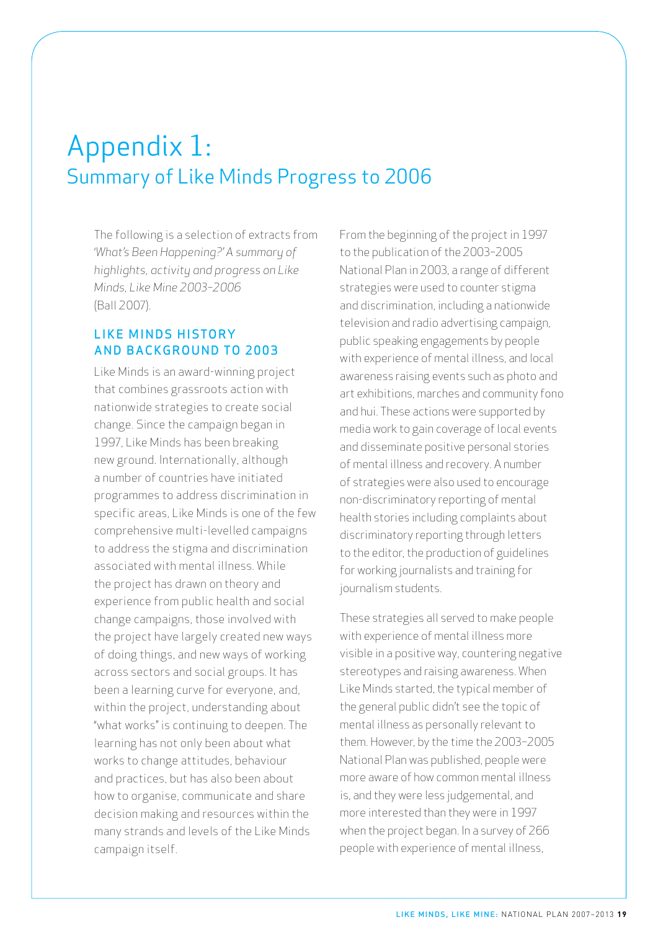## Appendix 1: Summary of Like Minds Progress to 2006

The following is a selection of extracts from *'What's Been Happening?' A summary of highlights, activity and progress on Like Minds, Like Mine 2003–2006*  (Ball 2007).

### **LIKE MINDS HISTORY** AND BACKGROUND TO 2003

Like Minds is an award-winning project that combines grassroots action with nationwide strategies to create social change. Since the campaign began in 1997, Like Minds has been breaking new ground. Internationally, although a number of countries have initiated programmes to address discrimination in specific areas, Like Minds is one of the few comprehensive multi-levelled campaigns to address the stigma and discrimination associated with mental illness. While the project has drawn on theory and experience from public health and social change campaigns, those involved with the project have largely created new ways of doing things, and new ways of working across sectors and social groups. It has been a learning curve for everyone, and, within the project, understanding about "what works" is continuing to deepen. The learning has not only been about what works to change attitudes, behaviour and practices, but has also been about how to organise, communicate and share decision making and resources within the many strands and levels of the Like Minds campaign itself.

From the beginning of the project in 1997 to the publication of the 2003−2005 National Plan in 2003, a range of different strategies were used to counter stigma and discrimination, including a nationwide television and radio advertising campaign, public speaking engagements by people with experience of mental illness, and local awareness raising events such as photo and art exhibitions, marches and community fono and hui. These actions were supported by media work to gain coverage of local events and disseminate positive personal stories of mental illness and recovery. A number of strategies were also used to encourage non-discriminatory reporting of mental health stories including complaints about discriminatory reporting through letters to the editor, the production of guidelines for working journalists and training for journalism students.

These strategies all served to make people with experience of mental illness more visible in a positive way, countering negative stereotypes and raising awareness. When Like Minds started, the typical member of the general public didn't see the topic of mental illness as personally relevant to them. However, by the time the 2003−2005 National Plan was published, people were more aware of how common mental illness is, and they were less judgemental, and more interested than they were in 1997 when the project began. In a survey of 266 people with experience of mental illness,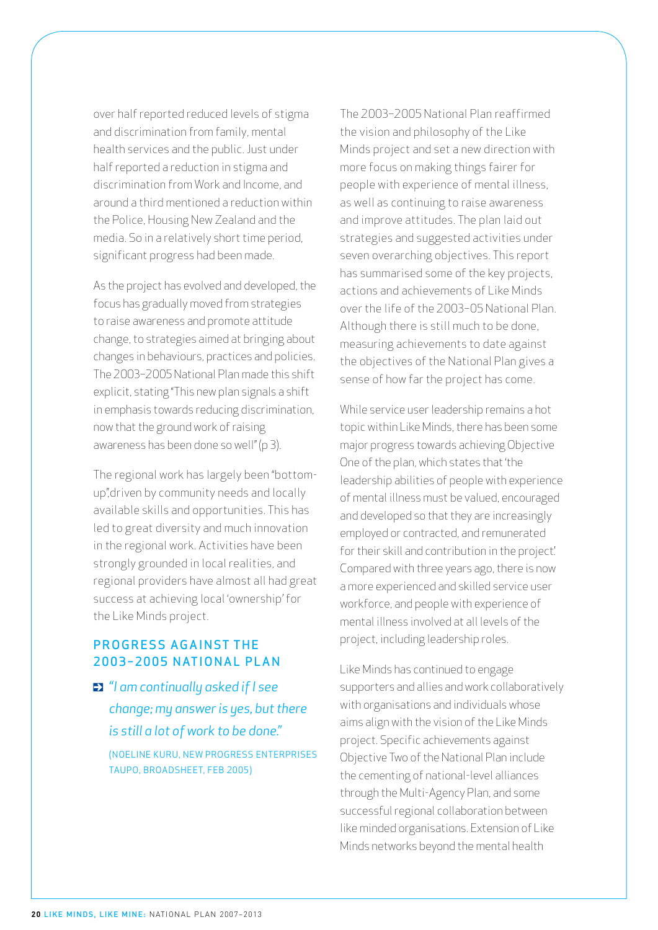over half reported reduced levels of stigma and discrimination from family, mental health services and the public. Just under half reported a reduction in stigma and discrimination from Work and Income, and around a third mentioned a reduction within the Police, Housing New Zealand and the media. So in a relatively short time period, significant progress had been made.

As the project has evolved and developed, the focus has gradually moved from strategies to raise awareness and promote attitude change, to strategies aimed at bringing about changes in behaviours, practices and policies. The 2003−2005 National Plan made this shift explicit, stating "This new plan signals a shift in emphasis towards reducing discrimination, now that the ground work of raising awareness has been done so well" (p 3).

The regional work has largely been "bottomup",driven by community needs and locally available skills and opportunities. This has led to great diversity and much innovation in the regional work. Activities have been strongly grounded in local realities, and regional providers have almost all had great success at achieving local 'ownership' for the Like Minds project.

### PROGRESS AGAINST THE 2003-2005 NATIONAL PLAN

*"I am continually asked if I see change; my answer is yes, but there is still a lot of work to be done."* 

(Noeline Kuru, New Progress Enterprises Taupo, Broadsheet, Feb 2005)

The 2003−2005 National Plan reaffirmed the vision and philosophy of the Like Minds project and set a new direction with more focus on making things fairer for people with experience of mental illness, as well as continuing to raise awareness and improve attitudes. The plan laid out strategies and suggested activities under seven overarching objectives. This report has summarised some of the key projects, actions and achievements of Like Minds over the life of the 2003−05 National Plan. Although there is still much to be done, measuring achievements to date against the objectives of the National Plan gives a sense of how far the project has come.

While service user leadership remains a hot topic within Like Minds, there has been some major progress towards achieving Objective One of the plan, which states that 'the leadership abilities of people with experience of mental illness must be valued, encouraged and developed so that they are increasingly employed or contracted, and remunerated for their skill and contribution in the project'. Compared with three years ago, there is now a more experienced and skilled service user workforce, and people with experience of mental illness involved at all levels of the project, including leadership roles.

Like Minds has continued to engage supporters and allies and work collaboratively with organisations and individuals whose aims align with the vision of the Like Minds project. Specific achievements against Objective Two of the National Plan include the cementing of national-level alliances through the Multi-Agency Plan, and some successful regional collaboration between like minded organisations. Extension of Like Minds networks beyond the mental health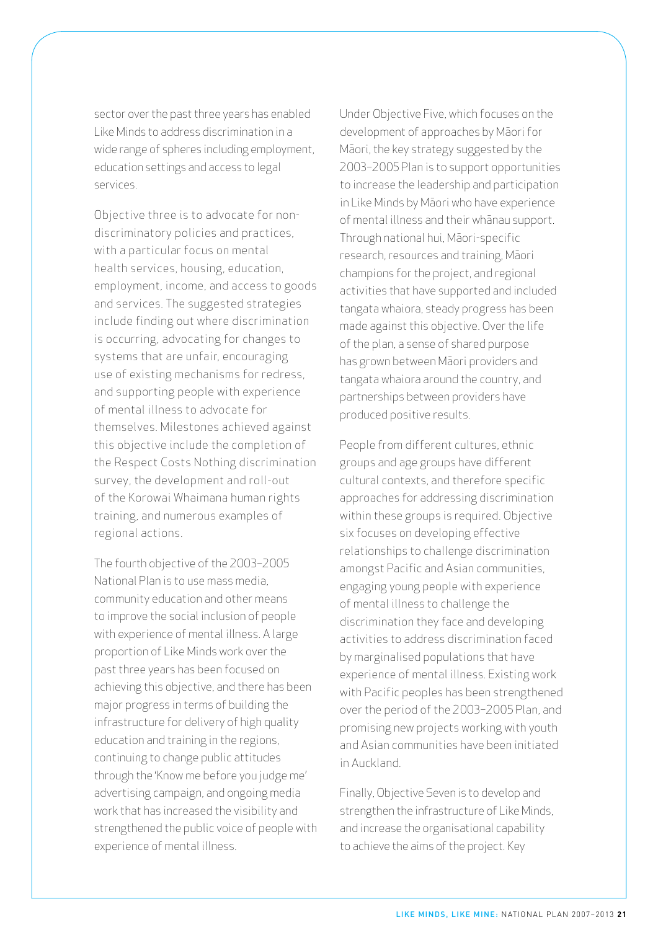sector over the past three years has enabled Like Minds to address discrimination in a wide range of spheres including employment, education settings and access to legal services.

Objective three is to advocate for nondiscriminatory policies and practices, with a particular focus on mental health services, housing, education, employment, income, and access to goods and services. The suggested strategies include finding out where discrimination is occurring, advocating for changes to systems that are unfair, encouraging use of existing mechanisms for redress, and supporting people with experience of mental illness to advocate for themselves. Milestones achieved against this objective include the completion of the Respect Costs Nothing discrimination survey, the development and roll-out of the Korowai Whaimana human rights training, and numerous examples of regional actions.

The fourth objective of the 2003−2005 National Plan is to use mass media, community education and other means to improve the social inclusion of people with experience of mental illness. A large proportion of Like Minds work over the past three years has been focused on achieving this objective, and there has been major progress in terms of building the infrastructure for delivery of high quality education and training in the regions, continuing to change public attitudes through the 'Know me before you judge me' advertising campaign, and ongoing media work that has increased the visibility and strengthened the public voice of people with experience of mental illness.

Under Objective Five, which focuses on the development of approaches by Māori for Māori, the key strategy suggested by the 2003−2005 Plan is to support opportunities to increase the leadership and participation in Like Minds by Māori who have experience of mental illness and their whānau support. Through national hui, Māori-specific research, resources and training, Māori champions for the project, and regional activities that have supported and included tangata whaiora, steady progress has been made against this objective. Over the life of the plan, a sense of shared purpose has grown between Māori providers and tangata whaiora around the country, and partnerships between providers have produced positive results.

People from different cultures, ethnic groups and age groups have different cultural contexts, and therefore specific approaches for addressing discrimination within these groups is required. Objective six focuses on developing effective relationships to challenge discrimination amongst Pacific and Asian communities, engaging young people with experience of mental illness to challenge the discrimination they face and developing activities to address discrimination faced by marginalised populations that have experience of mental illness. Existing work with Pacific peoples has been strengthened over the period of the 2003−2005 Plan, and promising new projects working with youth and Asian communities have been initiated in Auckland.

Finally, Objective Seven is to develop and strengthen the infrastructure of Like Minds, and increase the organisational capability to achieve the aims of the project. Key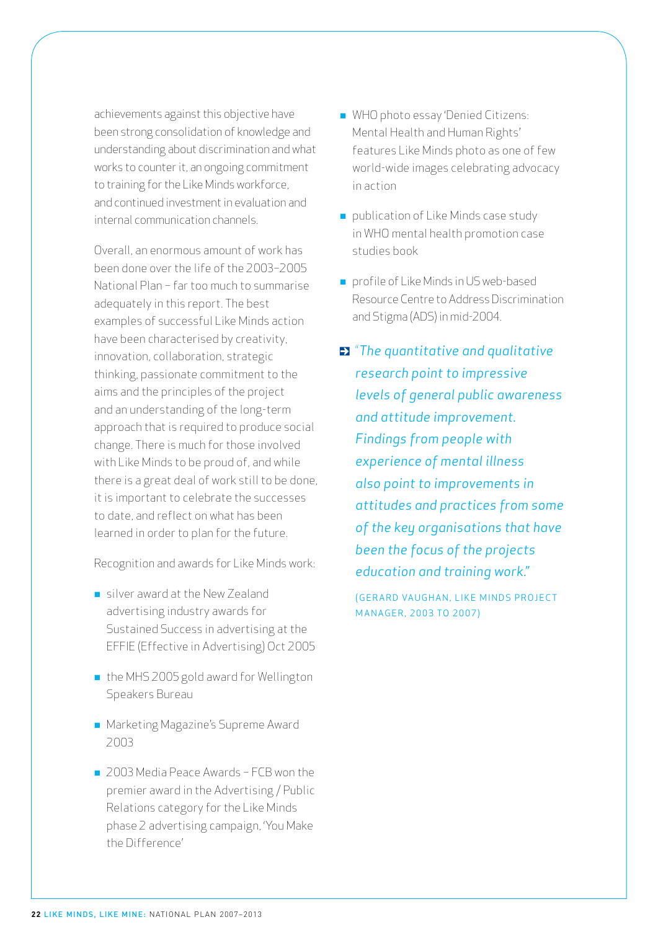achievements against this objective have been strong consolidation of knowledge and understanding about discrimination and what works to counter it, an ongoing commitment to training for the Like Minds workforce, and continued investment in evaluation and internal communication channels.

Overall, an enormous amount of work has been done over the life of the 2003−2005 National Plan − far too much to summarise adequately in this report. The best examples of successful Like Minds action have been characterised by creativity, innovation, collaboration, strategic thinking, passionate commitment to the aims and the principles of the project and an understanding of the long-term approach that is required to produce social change. There is much for those involved with Like Minds to be proud of, and while there is a great deal of work still to be done, it is important to celebrate the successes to date, and reflect on what has been learned in order to plan for the future.

Recognition and awards for Like Minds work:

- silver award at the New Zealand advertising industry awards for Sustained Success in advertising at the EFFIE (Effective in Advertising) Oct 2005
- $\blacksquare$  the MHS 2005 gold award for Wellington Speakers Bureau
- **n** Marketing Magazine's Supreme Award 2003
- 2003 Media Peace Awards − FCB won the premier award in the Advertising / Public Relations category for the Like Minds phase 2 advertising campaign, 'You Make the Difference'
- WHO photo essay 'Denied Citizens: Mental Health and Human Rights' features Like Minds photo as one of few world-wide images celebrating advocacy in action
- publication of Like Minds case study in WHO mental health promotion case studies book
- n profile of Like Minds in US web-based Resource Centre to Address Discrimination and Stigma (ADS) in mid-2004.
- "*The quantitative and qualitative research point to impressive levels of general public awareness and attitude improvement. Findings from people with experience of mental illness also point to improvements in attitudes and practices from some of the key organisations that have been the focus of the projects education and training work."*

( GERARD VAUGHAN, LIKE MINDS PROJECT MANAGER, 2003 TO 2007)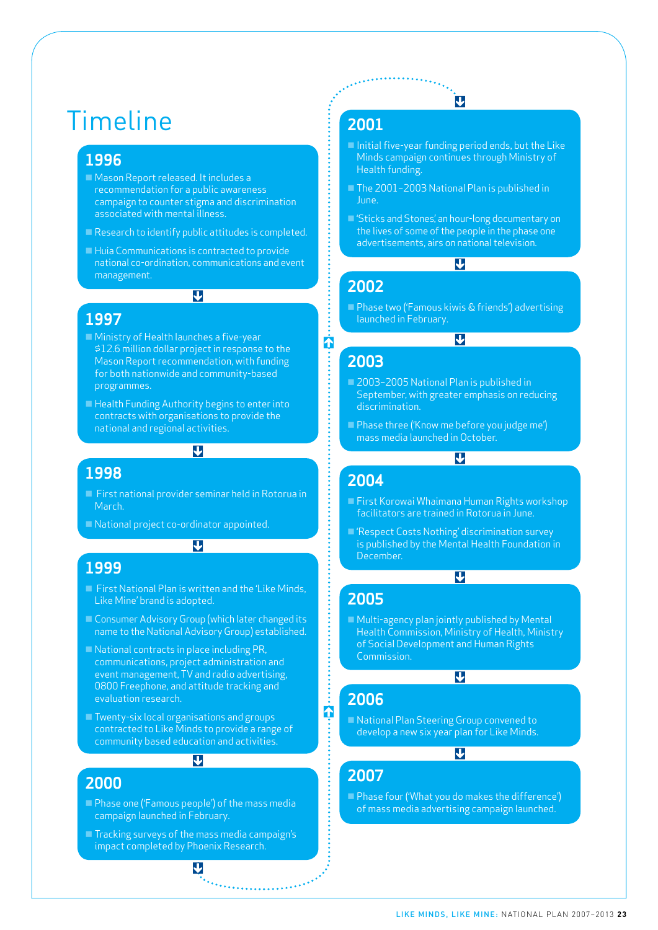## Timeline

### **1996**

- Mason Report released. It includes a recommendation for a public awareness campaign to counter stigma and discrimination associated with mental illness.
- $\blacksquare$  Research to identify public attitudes is completed.
- $\blacksquare$  Huia Communications is contracted to provide national co-ordination, communications and event management.

 $\overline{\mathbf{u}}$ 

### **1997**

- **Ninistry of Health launches a five-year** \$12.6 million dollar project in response to the Mason Report recommendation, with funding for both nationwide and community-based programmes.
- Health Funding Authority begins to enter into contracts with organisations to provide the national and regional activities.

#### **1998**

■ First national provider seminar held in Rotorua in March.

 $\overline{\mathbf{u}}$ 

 $\overline{\mathbf{v}}$ 

National project co-ordinator appointed.

#### **1999**

- $\blacksquare$  First National Plan is written and the 'Like Minds, Like Mine' brand is adopted.
- Consumer Advisory Group (which later changed its name to the National Advisory Group) established.
- $\blacksquare$  National contracts in place including PR, communications, project administration and event management, TV and radio advertising, 0800 Freephone, and attitude tracking and evaluation research.
- $\blacksquare$  Twenty-six local organisations and groups contracted to Like Minds to provide a range of community based education and activities.

### $\overline{\mathbf{u}}$

### **2000**

- **n** Phase one ('Famous people') of the mass media campaign launched in February.
- $\blacksquare$  Tracking surveys of the mass media campaign's impact completed by Phoenix Research.

 $\overline{\mathbf{v}}$ 

 $\mathcal{L}_{\mathcal{L}_{\mathcal{L}}}$  , and a subsequently defined by

### **2001**

 $\blacksquare$  Initial five-year funding period ends, but the Like Minds campaign continues through Ministry of Health funding.

IJ

- The 2001−2003 National Plan is published in June.
- 'Sticks and Stones', an hour-long documentary on the lives of some of the people in the phase one advertisements, airs on national television.

 $\overline{\mathbf{V}}$ 

**Phase two ('Famous kiwis & friends') advertising** launched in February.

#### $\overline{\mathbf{u}}$

### **2003**

ή

**2002**

- 2003-2005 National Plan is published in September, with greater emphasis on reducing discrimination.
- **n** Phase three ('Know me before you judge me') mass media launched in October.

### $\overline{\mathbf{u}}$

### **2004**

- First Korowai Whaimana Human Rights workshop facilitators are trained in Rotorua in June.
- $\blacksquare$  'Respect Costs Nothing' discrimination survey is published by the Mental Health Foundation in December.

### $\overline{\mathbf{u}}$

- **2005**
- $\blacksquare$  Multi-agency plan jointly published by Mental Health Commission, Ministry of Health, Ministry of Social Development and Human Rights Commission.

#### $\overline{\mathbf{u}}$

### **2006**

1

■ National Plan Steering Group convened to develop a new six year plan for Like Minds.

### $\overline{\mathbf{u}}$

### **2007**

**n** Phase four ('What you do makes the difference') of mass media advertising campaign launched.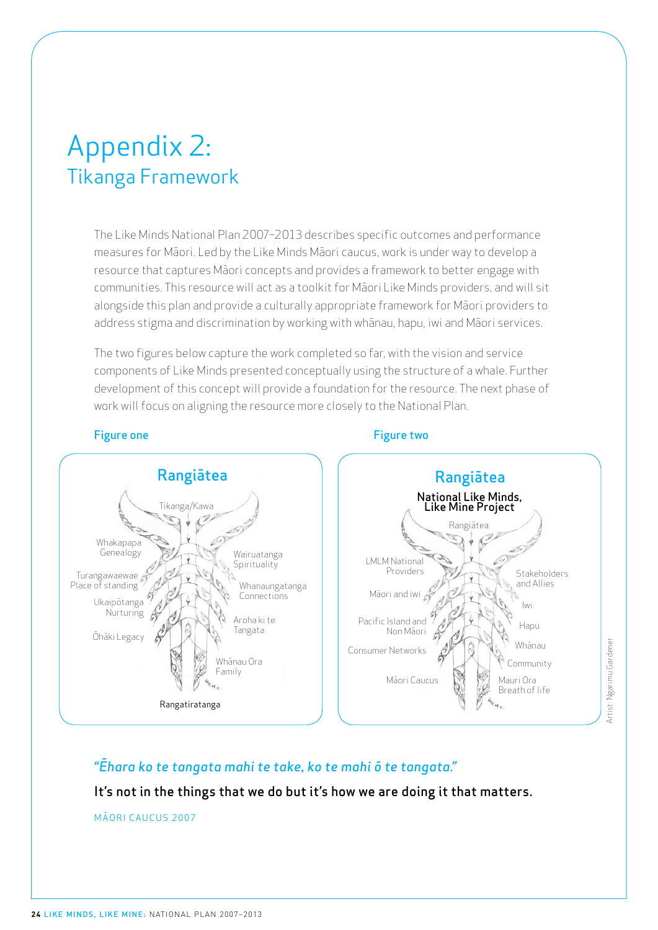## Appendix 2: Tikanga Framework

The Like Minds National Plan 2007−2013 describes specific outcomes and performance measures for Māori. Led by the Like Minds Māori caucus, work is under way to develop a resource that captures Māori concepts and provides a framework to better engage with communities. This resource will act as a toolkit for Māori Like Minds providers, and will sit alongside this plan and provide a culturally appropriate framework for Māori providers to address stigma and discrimination by working with whānau, hapu, iwi and Māori services.

The two figures below capture the work completed so far, with the vision and service components of Like Minds presented conceptually using the structure of a whale. Further development of this concept will provide a foundation for the resource. The next phase of work will focus on aligning the resource more closely to the National Plan.





Artist: Ngarimu Gardener Artist: Ngarimu Gardener

### *"Ēhara ko te tangata mahi te take, ko te mahi ō te tangata."*

### It's not in the things that we do but it's how we are doing it that matters.

MÃORI CAUCUS 2007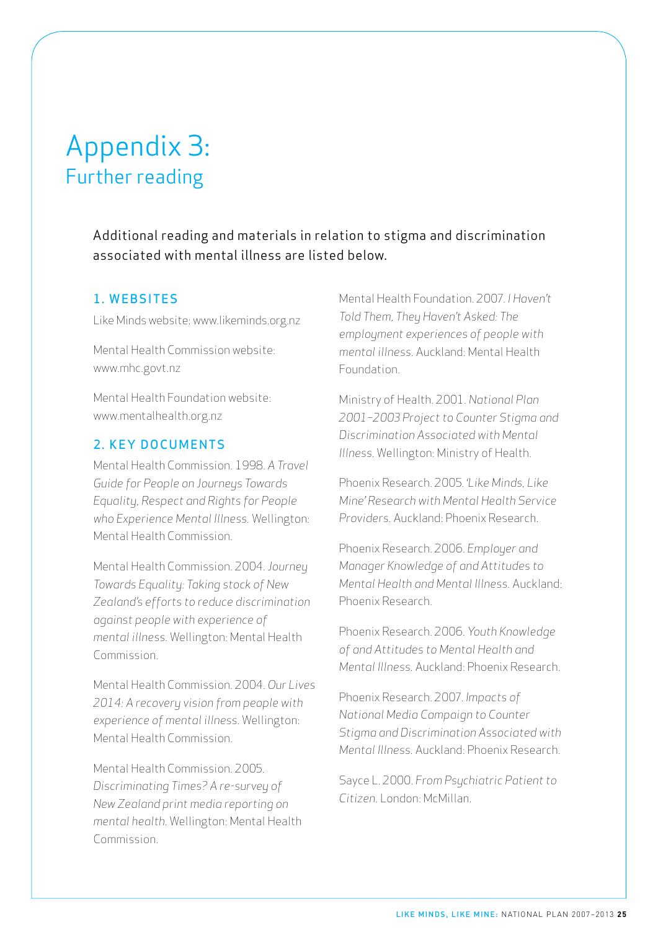## Appendix 3: Further reading

Additional reading and materials in relation to stigma and discrimination associated with mental illness are listed below.

### 1. WEBSITES

Like Minds website: www.likeminds.org.nz

Mental Health Commission website: www.mhc.govt.nz

Mental Health Foundation website: www.mentalhealth.org.nz

### 2 KEY DOCUMENTS

Mental Health Commission. 1998. *A Travel Guide for People on Journeys Towards Equality, Respect and Rights for People who Experience Mental Illness.* Wellington*:*  Mental Health Commission.

Mental Health Commission. 2004. *Journey Towards Equality: Taking stock of New Zealand's efforts to reduce discrimination against people with experience of mental illness.* Wellington: Mental Health Commission.

Mental Health Commission. 2004. *Our Lives 2014: A recovery vision from people with experience of mental illness.* Wellington: Mental Health Commission.

Mental Health Commission. 2005. *Discriminating Times? A re-survey of New Zealand print media reporting on mental health.* Wellington: Mental Health Commission.

Mental Health Foundation. 2007. *I Haven't Told Them, They Haven't Asked: The employment experiences of people with mental illness.* Auckland: Mental Health Foundation.

Ministry of Health. 2001. *National Plan 2001−2003 Project to Counter Stigma and Discrimination Associated with Mental Illness.* Wellington: Ministry of Health.

Phoenix Research. 2005. *'Like Minds, Like Mine' Research with Mental Health Service Providers.* Auckland: Phoenix Research.

Phoenix Research. 2006. *Employer and Manager Knowledge of and Attitudes to Mental Health and Mental Illness.* Auckland: Phoenix Research.

Phoenix Research. 2006. *Youth Knowledge of and Attitudes to Mental Health and Mental Illness.* Auckland: Phoenix Research.

Phoenix Research. 2007. *Impacts of National Media Campaign to Counter Stigma and Discrimination Associated with Mental Illness.* Auckland: Phoenix Research.

Sayce L. 2000. *From Psychiatric Patient to Citizen.* London: McMillan.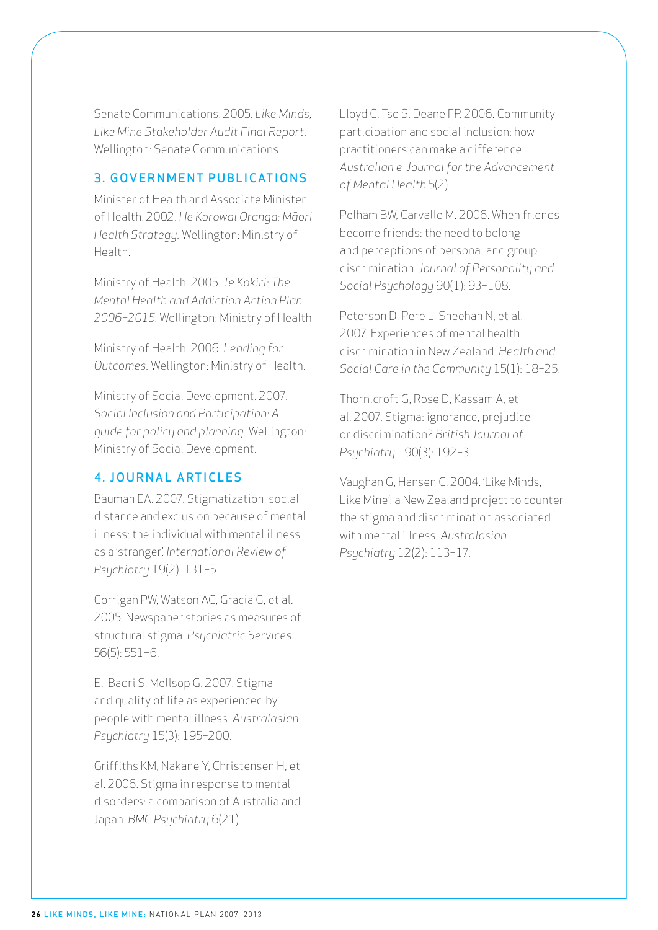Senate Communications. 2005. *Like Minds, Like Mine Stakeholder Audit Final Report.* Wellington: Senate Communications.

### 3. GOVERNMENT PUBLICATIONS

Minister of Health and Associate Minister of Health. 2002. *He Korowai Oranga: Māori Health Strategy.* Wellington: Ministry of Health.

Ministry of Health. 2005. *Te Kokiri: The Mental Health and Addiction Action Plan 2006−2015.* Wellington: Ministry of Health

Ministry of Health. 2006. *Leading for Outcomes.* Wellington: Ministry of Health.

Ministry of Social Development. 2007. *Social Inclusion and Participation: A guide for policy and planning.* Wellington: Ministry of Social Development.

### 4 . Journal articles

Bauman EA. 2007. Stigmatization, social distance and exclusion because of mental illness: the individual with mental illness as a 'stranger'. *International Review of Psychiatry* 19(2): 131−5.

Corrigan PW, Watson AC, Gracia G, et al. 2005. Newspaper stories as measures of structural stigma. *Psychiatric Services* 56(5): 551−6.

El-Badri S, Mellsop G. 2007. Stigma and quality of life as experienced by people with mental illness. *Australasian Psychiatry* 15(3): 195−200.

Griffiths KM, Nakane Y, Christensen H, et al. 2006. Stigma in response to mental disorders: a comparison of Australia and Japan. *BMC Psychiatry* 6(21).

Lloyd C, Tse S, Deane FP. 2006. Community participation and social inclusion: how practitioners can make a difference. *Australian e-Journal for the Advancement of Mental Health* 5(2).

Pelham BW, Carvallo M. 2006. When friends become friends: the need to belong and perceptions of personal and group discrimination. *Journal of Personality and Social Psychology* 90(1): 93−108.

Peterson D, Pere L, Sheehan N, et al. 2007. Experiences of mental health discrimination in New Zealand. *Health and Social Care in the Community* 15(1): 18−25.

Thornicroft G, Rose D, Kassam A, et al. 2007. Stigma: ignorance, prejudice or discrimination? *British Journal of Psychiatry* 190(3): 192−3.

Vaughan G, Hansen C. 2004. 'Like Minds, Like Mine': a New Zealand project to counter the stigma and discrimination associated with mental illness. *Australasian Psychiatry* 12(2): 113−17.